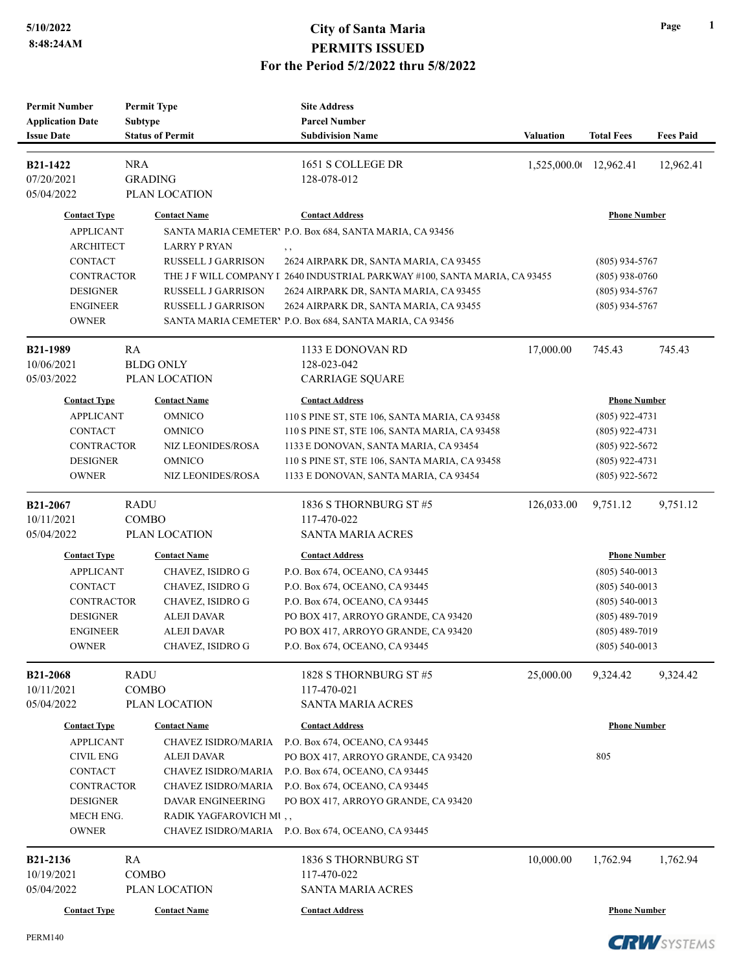| <b>Permit Number</b>                         | <b>Permit Type</b>                        |                            | <b>Site Address</b>                                                        |                  |                     |                  |
|----------------------------------------------|-------------------------------------------|----------------------------|----------------------------------------------------------------------------|------------------|---------------------|------------------|
| <b>Application Date</b><br><b>Issue Date</b> | <b>Subtype</b><br><b>Status of Permit</b> |                            | <b>Parcel Number</b><br><b>Subdivision Name</b>                            | <b>Valuation</b> | <b>Total Fees</b>   | <b>Fees Paid</b> |
|                                              |                                           |                            |                                                                            |                  |                     |                  |
| B21-1422                                     | <b>NRA</b>                                |                            | 1651 S COLLEGE DR                                                          | 1,525,000.00     | 12,962.41           | 12,962.41        |
| 07/20/2021                                   | <b>GRADING</b>                            |                            | 128-078-012                                                                |                  |                     |                  |
| 05/04/2022                                   | PLAN LOCATION                             |                            |                                                                            |                  |                     |                  |
| <b>Contact Type</b>                          | <b>Contact Name</b>                       |                            | <b>Contact Address</b>                                                     |                  | <b>Phone Number</b> |                  |
| <b>APPLICANT</b>                             |                                           |                            | SANTA MARIA CEMETERY P.O. Box 684, SANTA MARIA, CA 93456                   |                  |                     |                  |
| <b>ARCHITECT</b>                             |                                           | <b>LARRY P RYAN</b>        | $, \,$                                                                     |                  |                     |                  |
| <b>CONTACT</b>                               |                                           | <b>RUSSELL J GARRISON</b>  | 2624 AIRPARK DR, SANTA MARIA, CA 93455                                     |                  | $(805)$ 934-5767    |                  |
| <b>CONTRACTOR</b>                            |                                           |                            | THE J F WILL COMPANY I 2640 INDUSTRIAL PARKWAY #100, SANTA MARIA, CA 93455 |                  | $(805)$ 938-0760    |                  |
| <b>DESIGNER</b>                              |                                           | RUSSELL J GARRISON         | 2624 AIRPARK DR, SANTA MARIA, CA 93455                                     |                  | $(805)$ 934-5767    |                  |
| <b>ENGINEER</b>                              |                                           | RUSSELL J GARRISON         | 2624 AIRPARK DR, SANTA MARIA, CA 93455                                     |                  | $(805)$ 934-5767    |                  |
| <b>OWNER</b>                                 |                                           |                            | SANTA MARIA CEMETERY P.O. Box 684, SANTA MARIA, CA 93456                   |                  |                     |                  |
| <b>B21-1989</b>                              | RA                                        |                            | 1133 E DONOVAN RD                                                          | 17,000.00        | 745.43              | 745.43           |
| 10/06/2021                                   | <b>BLDG ONLY</b>                          |                            | 128-023-042                                                                |                  |                     |                  |
| 05/03/2022                                   | PLAN LOCATION                             |                            | <b>CARRIAGE SQUARE</b>                                                     |                  |                     |                  |
| <b>Contact Type</b>                          | <b>Contact Name</b>                       |                            | <b>Contact Address</b>                                                     |                  | <b>Phone Number</b> |                  |
| <b>APPLICANT</b>                             | <b>OMNICO</b>                             |                            | 110 S PINE ST, STE 106, SANTA MARIA, CA 93458                              |                  | $(805)$ 922-4731    |                  |
| <b>CONTACT</b>                               | <b>OMNICO</b>                             |                            | 110 S PINE ST, STE 106, SANTA MARIA, CA 93458                              |                  | $(805)$ 922-4731    |                  |
| <b>CONTRACTOR</b>                            |                                           | NIZ LEONIDES/ROSA          | 1133 E DONOVAN, SANTA MARIA, CA 93454                                      |                  | $(805)$ 922-5672    |                  |
| <b>DESIGNER</b>                              | <b>OMNICO</b>                             |                            | 110 S PINE ST, STE 106, SANTA MARIA, CA 93458                              |                  | $(805)$ 922-4731    |                  |
| <b>OWNER</b>                                 |                                           | NIZ LEONIDES/ROSA          | 1133 E DONOVAN, SANTA MARIA, CA 93454                                      |                  | $(805)$ 922-5672    |                  |
| B21-2067                                     | RADU                                      |                            | 1836 S THORNBURG ST #5                                                     | 126,033.00       | 9,751.12            | 9,751.12         |
| 10/11/2021                                   | <b>COMBO</b>                              |                            | 117-470-022                                                                |                  |                     |                  |
| 05/04/2022                                   | PLAN LOCATION                             |                            | <b>SANTA MARIA ACRES</b>                                                   |                  |                     |                  |
| <b>Contact Type</b>                          | <b>Contact Name</b>                       |                            | <b>Contact Address</b>                                                     |                  | <b>Phone Number</b> |                  |
| <b>APPLICANT</b>                             |                                           | CHAVEZ, ISIDRO G           | P.O. Box 674, OCEANO, CA 93445                                             |                  | $(805)$ 540-0013    |                  |
| CONTACT                                      |                                           | CHAVEZ, ISIDRO G           | P.O. Box 674, OCEANO, CA 93445                                             |                  | $(805)$ 540-0013    |                  |
| <b>CONTRACTOR</b>                            |                                           | CHAVEZ, ISIDRO G           | P.O. Box 674, OCEANO, CA 93445                                             |                  | $(805)$ 540-0013    |                  |
| <b>DESIGNER</b>                              |                                           | <b>ALEJI DAVAR</b>         | PO BOX 417, ARROYO GRANDE, CA 93420                                        |                  | $(805)$ 489-7019    |                  |
| <b>ENGINEER</b>                              |                                           | <b>ALEJI DAVAR</b>         | PO BOX 417, ARROYO GRANDE, CA 93420                                        |                  | $(805)$ 489-7019    |                  |
| <b>OWNER</b>                                 |                                           | <b>CHAVEZ, ISIDRO G</b>    | P.O. Box 674, OCEANO, CA 93445                                             |                  | $(805)$ 540-0013    |                  |
| <b>B21-2068</b>                              | <b>RADU</b>                               |                            | 1828 S THORNBURG ST #5                                                     | 25,000.00        | 9,324.42            | 9,324.42         |
| 10/11/2021                                   | <b>COMBO</b>                              |                            | 117-470-021                                                                |                  |                     |                  |
| 05/04/2022                                   | <b>PLAN LOCATION</b>                      |                            | <b>SANTA MARIA ACRES</b>                                                   |                  |                     |                  |
| <b>Contact Type</b>                          | <b>Contact Name</b>                       |                            | <b>Contact Address</b>                                                     |                  | <b>Phone Number</b> |                  |
| <b>APPLICANT</b>                             |                                           | CHAVEZ ISIDRO/MARIA        | P.O. Box 674, OCEANO, CA 93445                                             |                  |                     |                  |
| <b>CIVIL ENG</b>                             |                                           | ALEJI DAVAR                | PO BOX 417, ARROYO GRANDE, CA 93420                                        |                  | 805                 |                  |
| CONTACT                                      |                                           | <b>CHAVEZ ISIDRO/MARIA</b> | P.O. Box 674, OCEANO, CA 93445                                             |                  |                     |                  |
| <b>CONTRACTOR</b>                            |                                           | CHAVEZ ISIDRO/MARIA        | P.O. Box 674, OCEANO, CA 93445                                             |                  |                     |                  |
| <b>DESIGNER</b>                              |                                           | <b>DAVAR ENGINEERING</b>   | PO BOX 417, ARROYO GRANDE, CA 93420                                        |                  |                     |                  |
| MECH ENG.                                    |                                           | RADIK YAGFAROVICH MI,      |                                                                            |                  |                     |                  |
| <b>OWNER</b>                                 |                                           |                            | CHAVEZ ISIDRO/MARIA P.O. Box 674, OCEANO, CA 93445                         |                  |                     |                  |
| B21-2136                                     | RA                                        |                            | 1836 S THORNBURG ST                                                        | 10,000.00        | 1,762.94            | 1,762.94         |
| 10/19/2021                                   | <b>COMBO</b>                              |                            | 117-470-022                                                                |                  |                     |                  |
| 05/04/2022                                   | PLAN LOCATION                             |                            | <b>SANTA MARIA ACRES</b>                                                   |                  |                     |                  |
| <b>Contact Type</b>                          | <b>Contact Name</b>                       |                            | <b>Contact Address</b>                                                     |                  | <b>Phone Number</b> |                  |

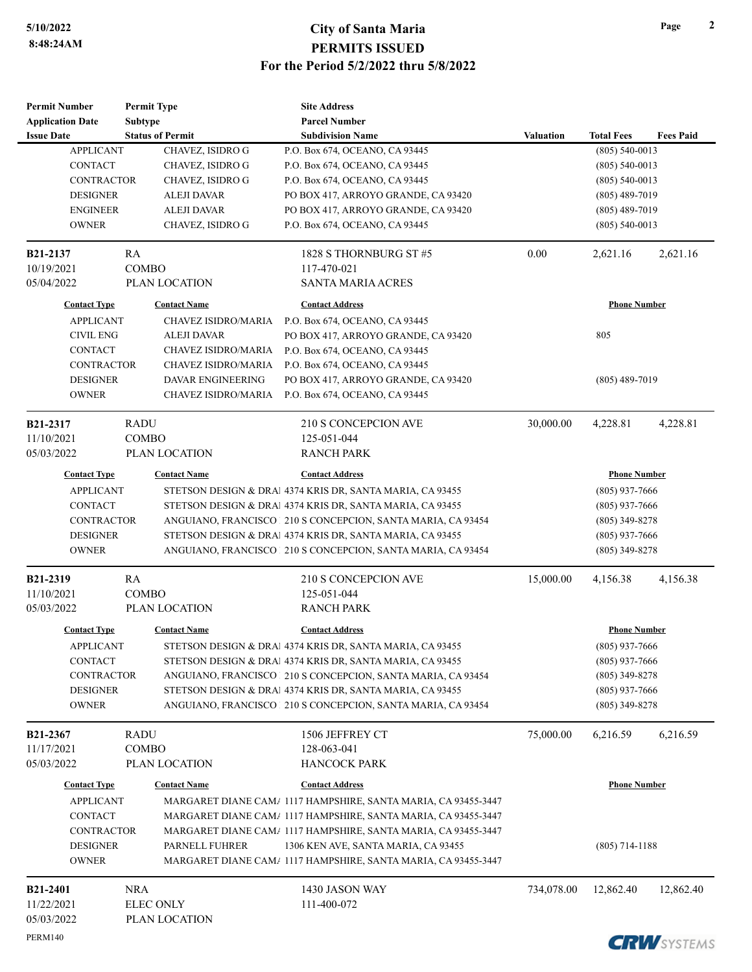| Permit Number<br><b>Application Date</b> | <b>Permit Type</b><br><b>Subtype</b><br><b>Status of Permit</b> |                            | <b>Site Address</b><br><b>Parcel Number</b><br><b>Subdivision Name</b> |                  |                                         |                   |
|------------------------------------------|-----------------------------------------------------------------|----------------------------|------------------------------------------------------------------------|------------------|-----------------------------------------|-------------------|
| <b>Issue Date</b><br><b>APPLICANT</b>    | CHAVEZ, ISIDRO G                                                |                            | P.O. Box 674, OCEANO, CA 93445                                         | Valuation        | <b>Total Fees</b><br>$(805) 540 - 0013$ | <b>Fees Paid</b>  |
| <b>CONTACT</b>                           | CHAVEZ, ISIDRO G                                                |                            | P.O. Box 674, OCEANO, CA 93445                                         |                  | $(805)$ 540-0013                        |                   |
| <b>CONTRACTOR</b>                        | CHAVEZ, ISIDRO G                                                |                            | P.O. Box 674, OCEANO, CA 93445                                         |                  | $(805) 540 - 0013$                      |                   |
| <b>DESIGNER</b>                          | <b>ALEJI DAVAR</b>                                              |                            | PO BOX 417, ARROYO GRANDE, CA 93420                                    | $(805)$ 489-7019 |                                         |                   |
| <b>ENGINEER</b>                          | <b>ALEJI DAVAR</b>                                              |                            | PO BOX 417, ARROYO GRANDE, CA 93420                                    |                  | $(805)$ 489-7019                        |                   |
| <b>OWNER</b>                             | CHAVEZ, ISIDRO G                                                |                            | P.O. Box 674, OCEANO, CA 93445                                         |                  | $(805)$ 540-0013                        |                   |
| B21-2137                                 | RA                                                              |                            | 1828 S THORNBURG ST #5                                                 | 0.00             | 2,621.16                                | 2,621.16          |
| 10/19/2021                               | <b>COMBO</b>                                                    |                            | 117-470-021                                                            |                  |                                         |                   |
| 05/04/2022                               | PLAN LOCATION                                                   |                            | <b>SANTA MARIA ACRES</b>                                               |                  |                                         |                   |
| <b>Contact Type</b>                      | <b>Contact Name</b>                                             |                            | <b>Contact Address</b>                                                 |                  | <b>Phone Number</b>                     |                   |
| <b>APPLICANT</b>                         |                                                                 | <b>CHAVEZ ISIDRO/MARIA</b> | P.O. Box 674, OCEANO, CA 93445                                         |                  |                                         |                   |
| <b>CIVIL ENG</b>                         | ALEJI DAVAR                                                     |                            | PO BOX 417, ARROYO GRANDE, CA 93420                                    |                  | 805                                     |                   |
| <b>CONTACT</b>                           |                                                                 | CHAVEZ ISIDRO/MARIA        | P.O. Box 674, OCEANO, CA 93445                                         |                  |                                         |                   |
| <b>CONTRACTOR</b>                        |                                                                 | CHAVEZ ISIDRO/MARIA        | P.O. Box 674, OCEANO, CA 93445                                         |                  |                                         |                   |
| <b>DESIGNER</b>                          | <b>DAVAR ENGINEERING</b>                                        |                            | PO BOX 417, ARROYO GRANDE, CA 93420                                    |                  | $(805)$ 489-7019                        |                   |
| <b>OWNER</b>                             |                                                                 | <b>CHAVEZ ISIDRO/MARIA</b> | P.O. Box 674, OCEANO, CA 93445                                         |                  |                                         |                   |
| B21-2317                                 | <b>RADU</b>                                                     |                            | 210 S CONCEPCION AVE                                                   | 30,000.00        | 4,228.81                                | 4,228.81          |
| 11/10/2021                               | <b>COMBO</b>                                                    |                            | 125-051-044                                                            |                  |                                         |                   |
| 05/03/2022                               | PLAN LOCATION                                                   |                            | <b>RANCH PARK</b>                                                      |                  |                                         |                   |
| <b>Contact Type</b>                      | <b>Contact Name</b>                                             |                            | <b>Contact Address</b>                                                 |                  | <b>Phone Number</b>                     |                   |
| <b>APPLICANT</b>                         |                                                                 |                            | STETSON DESIGN & DRAI 4374 KRIS DR, SANTA MARIA, CA 93455              |                  | $(805)$ 937-7666                        |                   |
| <b>CONTACT</b>                           |                                                                 |                            | STETSON DESIGN & DRAI 4374 KRIS DR, SANTA MARIA, CA 93455              |                  | $(805)$ 937-7666                        |                   |
| <b>CONTRACTOR</b>                        |                                                                 |                            | ANGUIANO, FRANCISCO   210 S CONCEPCION, SANTA MARIA, CA 93454          |                  | $(805)$ 349-8278                        |                   |
| <b>DESIGNER</b>                          |                                                                 |                            | STETSON DESIGN & DRAI 4374 KRIS DR, SANTA MARIA, CA 93455              |                  | $(805)$ 937-7666                        |                   |
| <b>OWNER</b>                             |                                                                 |                            | ANGUIANO, FRANCISCO   210 S CONCEPCION, SANTA MARIA, CA 93454          |                  | $(805)$ 349-8278                        |                   |
| <b>B21-2319</b>                          | RA                                                              |                            | 210 S CONCEPCION AVE                                                   | 15,000.00        | 4,156.38                                | 4,156.38          |
| 11/10/2021                               | <b>COMBO</b>                                                    |                            | 125-051-044                                                            |                  |                                         |                   |
| 05/03/2022                               | PLAN LOCATION                                                   |                            | <b>RANCH PARK</b>                                                      |                  |                                         |                   |
| <b>Contact Type</b>                      | <b>Contact Name</b>                                             |                            | <b>Contact Address</b>                                                 |                  | <b>Phone Number</b>                     |                   |
| APPLICANT                                |                                                                 |                            | STETSON DESIGN & DRAI 4374 KRIS DR, SANTA MARIA, CA 93455              |                  | $(805)$ 937-7666                        |                   |
| <b>CONTACT</b>                           |                                                                 |                            | STETSON DESIGN & DRAI 4374 KRIS DR, SANTA MARIA, CA 93455              |                  | $(805)$ 937-7666                        |                   |
| <b>CONTRACTOR</b>                        |                                                                 |                            | ANGUIANO, FRANCISCO   210 S CONCEPCION, SANTA MARIA, CA 93454          |                  | $(805)$ 349-8278                        |                   |
| <b>DESIGNER</b>                          |                                                                 |                            | STETSON DESIGN & DRAI 4374 KRIS DR, SANTA MARIA, CA 93455              |                  | $(805)$ 937-7666                        |                   |
| <b>OWNER</b>                             |                                                                 |                            | ANGUIANO, FRANCISCO   210 S CONCEPCION, SANTA MARIA, CA 93454          |                  | $(805)$ 349-8278                        |                   |
| B21-2367                                 | <b>RADU</b>                                                     |                            | 1506 JEFFREY CT                                                        | 75,000.00        | 6,216.59                                | 6,216.59          |
| 11/17/2021                               | <b>COMBO</b>                                                    |                            | 128-063-041                                                            |                  |                                         |                   |
| 05/03/2022                               | PLAN LOCATION                                                   |                            | <b>HANCOCK PARK</b>                                                    |                  |                                         |                   |
| <b>Contact Type</b>                      | <b>Contact Name</b>                                             |                            | <b>Contact Address</b>                                                 |                  | <b>Phone Number</b>                     |                   |
| <b>APPLICANT</b>                         |                                                                 |                            | MARGARET DIANE CAMA 1117 HAMPSHIRE, SANTA MARIA, CA 93455-3447         |                  |                                         |                   |
| <b>CONTACT</b>                           |                                                                 |                            | MARGARET DIANE CAMA 1117 HAMPSHIRE, SANTA MARIA, CA 93455-3447         |                  |                                         |                   |
| <b>CONTRACTOR</b>                        |                                                                 |                            | MARGARET DIANE CAMA 1117 HAMPSHIRE, SANTA MARIA, CA 93455-3447         |                  |                                         |                   |
| <b>DESIGNER</b>                          | PARNELL FUHRER                                                  |                            | 1306 KEN AVE, SANTA MARIA, CA 93455                                    |                  | $(805)$ 714-1188                        |                   |
| <b>OWNER</b>                             |                                                                 |                            | MARGARET DIANE CAMA 1117 HAMPSHIRE, SANTA MARIA, CA 93455-3447         |                  |                                         |                   |
| B21-2401                                 | <b>NRA</b>                                                      |                            | 1430 JASON WAY                                                         | 734,078.00       | 12,862.40                               | 12,862.40         |
| 11/22/2021                               | <b>ELEC ONLY</b>                                                |                            | 111-400-072                                                            |                  |                                         |                   |
| 05/03/2022                               | PLAN LOCATION                                                   |                            |                                                                        |                  |                                         |                   |
| PERM140                                  |                                                                 |                            |                                                                        |                  |                                         | <b>COLUTATION</b> |

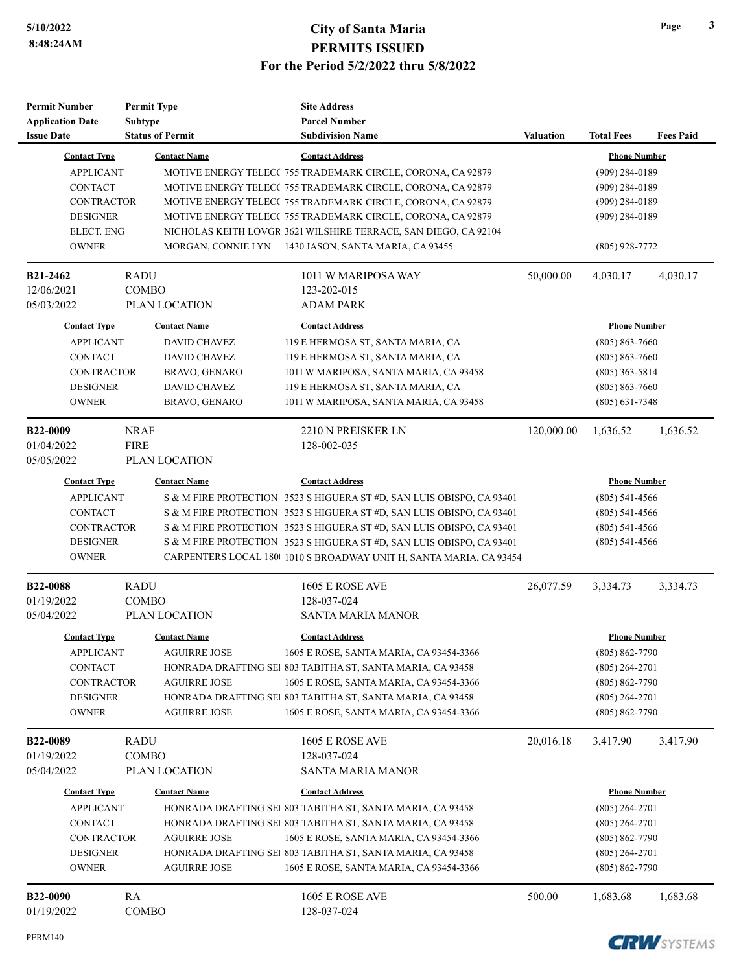| <b>Permit Number</b>    | <b>Permit Type</b>      | <b>Site Address</b>                                                   |                  |                     |                  |
|-------------------------|-------------------------|-----------------------------------------------------------------------|------------------|---------------------|------------------|
| <b>Application Date</b> | <b>Subtype</b>          | <b>Parcel Number</b>                                                  |                  |                     |                  |
| <b>Issue Date</b>       | <b>Status of Permit</b> | <b>Subdivision Name</b>                                               | <b>Valuation</b> | <b>Total Fees</b>   | <b>Fees Paid</b> |
| <b>Contact Type</b>     | <b>Contact Name</b>     | <b>Contact Address</b>                                                |                  | <b>Phone Number</b> |                  |
| <b>APPLICANT</b>        |                         | MOTIVE ENERGY TELECC 755 TRADEMARK CIRCLE, CORONA, CA 92879           |                  | $(909)$ 284-0189    |                  |
| <b>CONTACT</b>          |                         | MOTIVE ENERGY TELECC 755 TRADEMARK CIRCLE, CORONA, CA 92879           |                  | $(909)$ 284-0189    |                  |
| <b>CONTRACTOR</b>       |                         | MOTIVE ENERGY TELECC 755 TRADEMARK CIRCLE, CORONA, CA 92879           |                  | $(909)$ 284-0189    |                  |
| <b>DESIGNER</b>         |                         | MOTIVE ENERGY TELECC 755 TRADEMARK CIRCLE, CORONA, CA 92879           |                  | $(909)$ 284-0189    |                  |
| <b>ELECT. ENG</b>       |                         | NICHOLAS KEITH LOVGR 3621 WILSHIRE TERRACE, SAN DIEGO, CA 92104       |                  |                     |                  |
| <b>OWNER</b>            |                         | MORGAN, CONNIE LYN 1430 JASON, SANTA MARIA, CA 93455                  |                  | $(805)$ 928-7772    |                  |
| <b>B21-2462</b>         | <b>RADU</b>             | 1011 W MARIPOSA WAY                                                   | 50,000.00        | 4,030.17            | 4.030.17         |
| 12/06/2021              | <b>COMBO</b>            | 123-202-015                                                           |                  |                     |                  |
| 05/03/2022              | PLAN LOCATION           | ADAM PARK                                                             |                  |                     |                  |
| <b>Contact Type</b>     | <b>Contact Name</b>     | <b>Contact Address</b>                                                |                  | <b>Phone Number</b> |                  |
| <b>APPLICANT</b>        | <b>DAVID CHAVEZ</b>     | 119 E HERMOSA ST, SANTA MARIA, CA                                     |                  | $(805) 863 - 7660$  |                  |
| <b>CONTACT</b>          | <b>DAVID CHAVEZ</b>     | 119 E HERMOSA ST, SANTA MARIA, CA                                     |                  | $(805) 863 - 7660$  |                  |
| <b>CONTRACTOR</b>       | BRAVO, GENARO           | 1011 W MARIPOSA, SANTA MARIA, CA 93458                                |                  | $(805)$ 363-5814    |                  |
| <b>DESIGNER</b>         | <b>DAVID CHAVEZ</b>     | 119 E HERMOSA ST, SANTA MARIA, CA                                     |                  | $(805) 863 - 7660$  |                  |
| <b>OWNER</b>            | BRAVO, GENARO           | 1011 W MARIPOSA, SANTA MARIA, CA 93458                                |                  | $(805)$ 631-7348    |                  |
| <b>B22-0009</b>         | <b>NRAF</b>             | 2210 N PREISKER LN                                                    | 120,000.00       | 1,636.52            | 1,636.52         |
| 01/04/2022              | <b>FIRE</b>             | 128-002-035                                                           |                  |                     |                  |
| 05/05/2022              | PLAN LOCATION           |                                                                       |                  |                     |                  |
| <b>Contact Type</b>     | <b>Contact Name</b>     | <b>Contact Address</b>                                                |                  | <b>Phone Number</b> |                  |
| <b>APPLICANT</b>        |                         | S & M FIRE PROTECTION 3523 S HIGUERA ST #D, SAN LUIS OBISPO, CA 93401 |                  | $(805)$ 541-4566    |                  |
| <b>CONTACT</b>          |                         | S & M FIRE PROTECTION 3523 S HIGUERA ST #D, SAN LUIS OBISPO, CA 93401 |                  | $(805)$ 541-4566    |                  |
| <b>CONTRACTOR</b>       |                         | S & M FIRE PROTECTION 3523 S HIGUERA ST #D, SAN LUIS OBISPO, CA 93401 |                  | $(805)$ 541-4566    |                  |
| <b>DESIGNER</b>         |                         | S & M FIRE PROTECTION 3523 S HIGUERA ST #D, SAN LUIS OBISPO, CA 93401 |                  | $(805)$ 541-4566    |                  |
| <b>OWNER</b>            |                         | CARPENTERS LOCAL 180(1010 S BROADWAY UNIT H, SANTA MARIA, CA 93454    |                  |                     |                  |
| <b>B22-0088</b>         | <b>RADU</b>             | <b>1605 E ROSE AVE</b>                                                | 26,077.59        | 3,334.73            | 3,334.73         |
| 01/19/2022              | <b>COMBO</b>            | 128-037-024                                                           |                  |                     |                  |
| 05/04/2022              | PLAN LOCATION           | <b>SANTA MARIA MANOR</b>                                              |                  |                     |                  |
| <b>Contact Type</b>     | <b>Contact Name</b>     | <b>Contact Address</b>                                                |                  | <b>Phone Number</b> |                  |
| <b>APPLICANT</b>        | AGUIRRE JOSE            | 1605 E ROSE, SANTA MARIA, CA 93454-3366                               |                  | $(805) 862 - 7790$  |                  |
| CONTACT                 |                         | HONRADA DRAFTING SEI 803 TABITHA ST, SANTA MARIA, CA 93458            |                  | $(805)$ 264-2701    |                  |
| <b>CONTRACTOR</b>       | <b>AGUIRRE JOSE</b>     | 1605 E ROSE, SANTA MARIA, CA 93454-3366                               |                  | $(805) 862 - 7790$  |                  |
| <b>DESIGNER</b>         |                         | HONRADA DRAFTING SEI 803 TABITHA ST, SANTA MARIA, CA 93458            |                  | $(805)$ 264-2701    |                  |
| <b>OWNER</b>            | <b>AGUIRRE JOSE</b>     | 1605 E ROSE, SANTA MARIA, CA 93454-3366                               |                  | $(805) 862 - 7790$  |                  |
| <b>B22-0089</b>         | <b>RADU</b>             | <b>1605 E ROSE AVE</b>                                                | 20,016.18        | 3,417.90            | 3,417.90         |
| 01/19/2022              | <b>COMBO</b>            | 128-037-024                                                           |                  |                     |                  |
| 05/04/2022              | PLAN LOCATION           | <b>SANTA MARIA MANOR</b>                                              |                  |                     |                  |
| <b>Contact Type</b>     | <b>Contact Name</b>     | <b>Contact Address</b>                                                |                  | <b>Phone Number</b> |                  |
| <b>APPLICANT</b>        |                         | HONRADA DRAFTING SEI 803 TABITHA ST, SANTA MARIA, CA 93458            |                  | $(805)$ 264-2701    |                  |
| <b>CONTACT</b>          |                         | HONRADA DRAFTING SEI 803 TABITHA ST, SANTA MARIA, CA 93458            |                  | $(805)$ 264-2701    |                  |
| <b>CONTRACTOR</b>       | <b>AGUIRRE JOSE</b>     | 1605 E ROSE, SANTA MARIA, CA 93454-3366                               |                  | $(805) 862 - 7790$  |                  |
| <b>DESIGNER</b>         |                         | HONRADA DRAFTING SEI 803 TABITHA ST, SANTA MARIA, CA 93458            |                  | $(805)$ 264-2701    |                  |
| <b>OWNER</b>            | <b>AGUIRRE JOSE</b>     | 1605 E ROSE, SANTA MARIA, CA 93454-3366                               |                  | $(805) 862 - 7790$  |                  |
| B22-0090                | RA                      | 1605 E ROSE AVE                                                       | 500.00           | 1,683.68            | 1,683.68         |
| 01/19/2022              | COMBO                   | 128-037-024                                                           |                  |                     |                  |

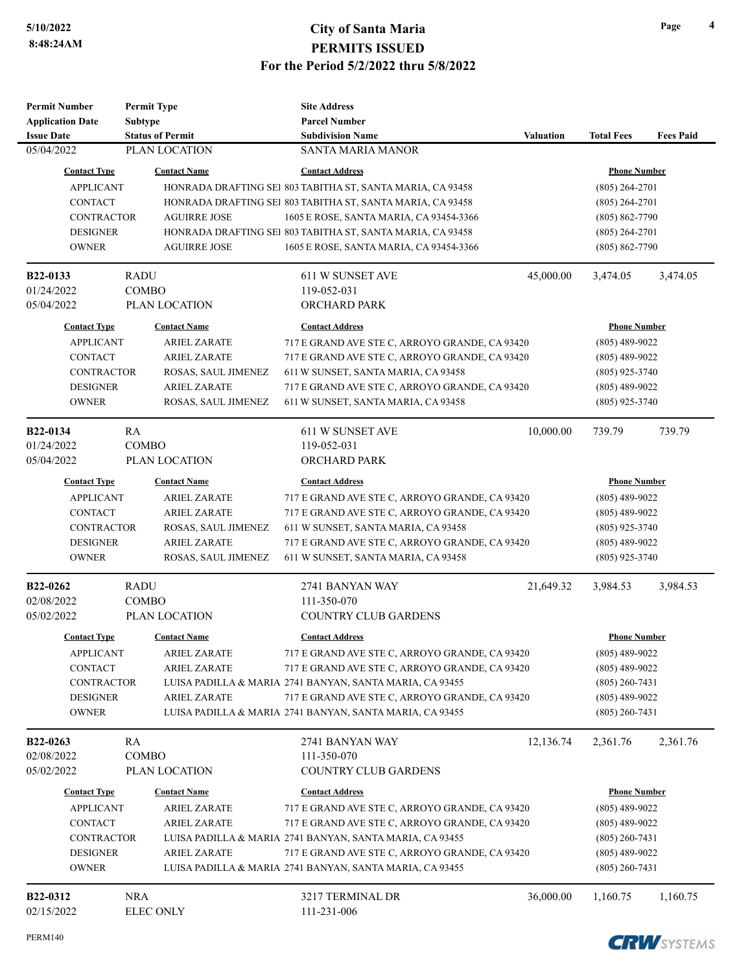| <b>Permit Number</b>          |                | <b>Permit Type</b>      | <b>Site Address</b>                                        |                  |                     |                  |
|-------------------------------|----------------|-------------------------|------------------------------------------------------------|------------------|---------------------|------------------|
| <b>Application Date</b>       | <b>Subtype</b> |                         | <b>Parcel Number</b>                                       |                  |                     |                  |
| <b>Issue Date</b>             |                | <b>Status of Permit</b> | <b>Subdivision Name</b>                                    | <b>Valuation</b> | <b>Total Fees</b>   | <b>Fees Paid</b> |
| 05/04/2022                    |                | PLAN LOCATION           | <b>SANTA MARIA MANOR</b>                                   |                  |                     |                  |
| <b>Contact Type</b>           |                | <b>Contact Name</b>     | <b>Contact Address</b>                                     |                  | <b>Phone Number</b> |                  |
| <b>APPLICANT</b>              |                |                         | HONRADA DRAFTING SEI 803 TABITHA ST, SANTA MARIA, CA 93458 |                  | $(805)$ 264-2701    |                  |
| <b>CONTACT</b>                |                |                         | HONRADA DRAFTING SEI 803 TABITHA ST, SANTA MARIA, CA 93458 |                  | $(805)$ 264-2701    |                  |
| <b>CONTRACTOR</b>             |                | <b>AGUIRRE JOSE</b>     | 1605 E ROSE, SANTA MARIA, CA 93454-3366                    |                  | $(805) 862 - 7790$  |                  |
| <b>DESIGNER</b>               |                |                         | HONRADA DRAFTING SEI 803 TABITHA ST, SANTA MARIA, CA 93458 |                  | $(805)$ 264-2701    |                  |
| <b>OWNER</b>                  |                | <b>AGUIRRE JOSE</b>     | 1605 E ROSE, SANTA MARIA, CA 93454-3366                    |                  | $(805) 862 - 7790$  |                  |
| <b>B22-0133</b>               | <b>RADU</b>    |                         | 611 W SUNSET AVE                                           | 45,000.00        | 3,474.05            | 3,474.05         |
| 01/24/2022                    |                | <b>COMBO</b>            | 119-052-031                                                |                  |                     |                  |
| 05/04/2022                    |                | PLAN LOCATION           | ORCHARD PARK                                               |                  |                     |                  |
| <b>Contact Type</b>           |                | <b>Contact Name</b>     | <b>Contact Address</b>                                     |                  | <b>Phone Number</b> |                  |
| <b>APPLICANT</b>              |                | <b>ARIEL ZARATE</b>     | 717 E GRAND AVE STE C, ARROYO GRANDE, CA 93420             |                  | $(805)$ 489-9022    |                  |
| <b>CONTACT</b>                |                | <b>ARIEL ZARATE</b>     | 717 E GRAND AVE STE C, ARROYO GRANDE, CA 93420             |                  | $(805)$ 489-9022    |                  |
| <b>CONTRACTOR</b>             |                | ROSAS, SAUL JIMENEZ     | 611 W SUNSET, SANTA MARIA, CA 93458                        |                  | $(805)$ 925-3740    |                  |
| <b>DESIGNER</b>               |                | <b>ARIEL ZARATE</b>     | 717 E GRAND AVE STE C, ARROYO GRANDE, CA 93420             |                  | $(805)$ 489-9022    |                  |
| <b>OWNER</b>                  |                | ROSAS, SAUL JIMENEZ     | 611 W SUNSET, SANTA MARIA, CA 93458                        |                  | $(805)$ 925-3740    |                  |
|                               |                |                         |                                                            |                  |                     |                  |
| B22-0134                      | <b>RA</b>      |                         | 611 W SUNSET AVE                                           | 10,000.00        | 739.79              | 739.79           |
| 01/24/2022                    | <b>COMBO</b>   |                         | 119-052-031                                                |                  |                     |                  |
| 05/04/2022                    |                | PLAN LOCATION           | ORCHARD PARK                                               |                  |                     |                  |
| <b>Contact Type</b>           |                | <b>Contact Name</b>     | <b>Contact Address</b>                                     |                  | <b>Phone Number</b> |                  |
| <b>APPLICANT</b>              |                | <b>ARIEL ZARATE</b>     | 717 E GRAND AVE STE C, ARROYO GRANDE, CA 93420             |                  | $(805)$ 489-9022    |                  |
| <b>CONTACT</b>                |                | <b>ARIEL ZARATE</b>     | 717 E GRAND AVE STE C, ARROYO GRANDE, CA 93420             |                  | $(805)$ 489-9022    |                  |
| <b>CONTRACTOR</b>             |                | ROSAS, SAUL JIMENEZ     | 611 W SUNSET, SANTA MARIA, CA 93458                        |                  | $(805)$ 925-3740    |                  |
| <b>DESIGNER</b>               |                | <b>ARIEL ZARATE</b>     | 717 E GRAND AVE STE C, ARROYO GRANDE, CA 93420             |                  | $(805)$ 489-9022    |                  |
| <b>OWNER</b>                  |                | ROSAS, SAUL JIMENEZ     | 611 W SUNSET, SANTA MARIA, CA 93458                        |                  | $(805)$ 925-3740    |                  |
|                               | <b>RADU</b>    |                         |                                                            |                  |                     |                  |
| <b>B22-0262</b><br>02/08/2022 | <b>COMBO</b>   |                         | 2741 BANYAN WAY<br>111-350-070                             | 21,649.32        | 3,984.53            | 3,984.53         |
| 05/02/2022                    |                | PLAN LOCATION           | <b>COUNTRY CLUB GARDENS</b>                                |                  |                     |                  |
|                               |                |                         |                                                            |                  |                     |                  |
| <b>Contact Type</b>           |                | <b>Contact Name</b>     | <b>Contact Address</b>                                     |                  | <b>Phone Number</b> |                  |
| <b>APPLICANT</b>              |                | ARIEL ZARATE            | 717 E GRAND AVE STE C, ARROYO GRANDE, CA 93420             |                  | $(805)$ 489-9022    |                  |
| CONTACT                       |                | <b>ARIEL ZARATE</b>     | 717 E GRAND AVE STE C, ARROYO GRANDE, CA 93420             |                  | $(805)$ 489-9022    |                  |
| <b>CONTRACTOR</b>             |                |                         | LUISA PADILLA & MARIA 2741 BANYAN, SANTA MARIA, CA 93455   |                  | $(805)$ 260-7431    |                  |
| <b>DESIGNER</b>               |                | <b>ARIEL ZARATE</b>     | 717 E GRAND AVE STE C, ARROYO GRANDE, CA 93420             |                  | $(805)$ 489-9022    |                  |
| <b>OWNER</b>                  |                |                         | LUISA PADILLA & MARIA 2741 BANYAN, SANTA MARIA, CA 93455   |                  | $(805)$ 260-7431    |                  |
| <b>B22-0263</b>               | RA.            |                         | 2741 BANYAN WAY                                            | 12,136.74        | 2,361.76            | 2,361.76         |
| 02/08/2022                    |                | <b>COMBO</b>            | 111-350-070                                                |                  |                     |                  |
| 05/02/2022                    |                | PLAN LOCATION           | <b>COUNTRY CLUB GARDENS</b>                                |                  |                     |                  |
| <b>Contact Type</b>           |                | <b>Contact Name</b>     | <b>Contact Address</b>                                     |                  | <b>Phone Number</b> |                  |
| <b>APPLICANT</b>              |                | <b>ARIEL ZARATE</b>     | 717 E GRAND AVE STE C, ARROYO GRANDE, CA 93420             |                  | $(805)$ 489-9022    |                  |
| <b>CONTACT</b>                |                | <b>ARIEL ZARATE</b>     | 717 E GRAND AVE STE C, ARROYO GRANDE, CA 93420             |                  | $(805)$ 489-9022    |                  |
| <b>CONTRACTOR</b>             |                |                         | LUISA PADILLA & MARIA 2741 BANYAN, SANTA MARIA, CA 93455   |                  | $(805)$ 260-7431    |                  |
| <b>DESIGNER</b>               |                | <b>ARIEL ZARATE</b>     | 717 E GRAND AVE STE C, ARROYO GRANDE, CA 93420             |                  | $(805)$ 489-9022    |                  |
| <b>OWNER</b>                  |                |                         | LUISA PADILLA & MARIA 2741 BANYAN, SANTA MARIA, CA 93455   |                  | $(805)$ 260-7431    |                  |
|                               |                |                         |                                                            |                  |                     |                  |
| B22-0312                      | <b>NRA</b>     |                         | 3217 TERMINAL DR                                           | 36,000.00        | 1,160.75            | 1,160.75         |
| 02/15/2022                    |                | <b>ELEC ONLY</b>        | 111-231-006                                                |                  |                     |                  |

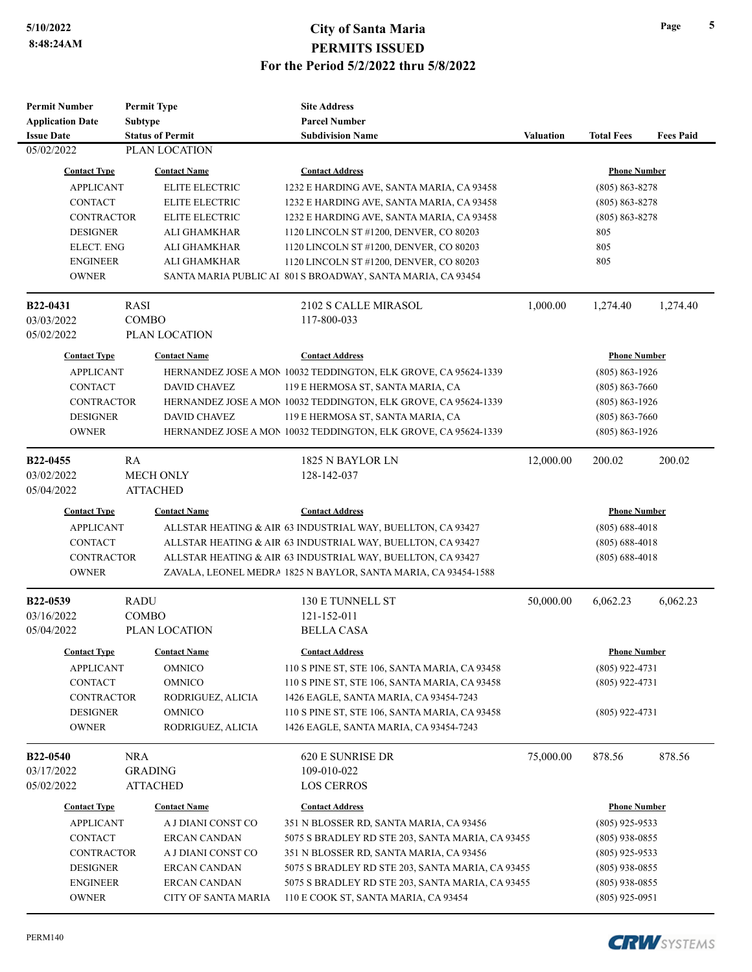| <b>Permit Number</b>        | <b>Permit Type</b>      | <b>Site Address</b>                                                                            |                  |                                      |                  |
|-----------------------------|-------------------------|------------------------------------------------------------------------------------------------|------------------|--------------------------------------|------------------|
| <b>Application Date</b>     | <b>Subtype</b>          | <b>Parcel Number</b>                                                                           |                  |                                      |                  |
| <b>Issue Date</b>           | <b>Status of Permit</b> | <b>Subdivision Name</b>                                                                        | <b>Valuation</b> | <b>Total Fees</b>                    | <b>Fees Paid</b> |
| 05/02/2022                  | PLAN LOCATION           |                                                                                                |                  |                                      |                  |
| <b>Contact Type</b>         | <b>Contact Name</b>     | <b>Contact Address</b>                                                                         |                  | <b>Phone Number</b>                  |                  |
| <b>APPLICANT</b>            | <b>ELITE ELECTRIC</b>   | 1232 E HARDING AVE, SANTA MARIA, CA 93458                                                      |                  | $(805) 863 - 8278$                   |                  |
| <b>CONTACT</b>              | <b>ELITE ELECTRIC</b>   | 1232 E HARDING AVE, SANTA MARIA, CA 93458                                                      |                  | $(805) 863 - 8278$                   |                  |
| <b>CONTRACTOR</b>           | <b>ELITE ELECTRIC</b>   | 1232 E HARDING AVE, SANTA MARIA, CA 93458                                                      |                  | $(805) 863 - 8278$                   |                  |
| <b>DESIGNER</b>             | ALI GHAMKHAR            | 1120 LINCOLN ST #1200, DENVER, CO 80203                                                        |                  | 805                                  |                  |
| <b>ELECT. ENG</b>           | <b>ALI GHAMKHAR</b>     | 1120 LINCOLN ST #1200, DENVER, CO 80203                                                        |                  | 805                                  |                  |
| <b>ENGINEER</b>             | ALI GHAMKHAR            | 1120 LINCOLN ST #1200, DENVER, CO 80203                                                        |                  | 805                                  |                  |
| <b>OWNER</b>                |                         | SANTA MARIA PUBLIC AI 801 S BROADWAY, SANTA MARIA, CA 93454                                    |                  |                                      |                  |
|                             |                         |                                                                                                |                  |                                      |                  |
| <b>B22-0431</b>             | RASI                    | 2102 S CALLE MIRASOL                                                                           | 1,000.00         | 1,274.40                             | 1,274.40         |
| 03/03/2022                  | <b>COMBO</b>            | 117-800-033                                                                                    |                  |                                      |                  |
| 05/02/2022                  | PLAN LOCATION           |                                                                                                |                  |                                      |                  |
| <b>Contact Type</b>         | <b>Contact Name</b>     | <b>Contact Address</b>                                                                         |                  | <b>Phone Number</b>                  |                  |
| <b>APPLICANT</b>            |                         | HERNANDEZ JOSE A MON 10032 TEDDINGTON, ELK GROVE, CA 95624-1339                                |                  | $(805) 863 - 1926$                   |                  |
| <b>CONTACT</b>              | <b>DAVID CHAVEZ</b>     | 119 E HERMOSA ST, SANTA MARIA, CA                                                              |                  | $(805) 863 - 7660$                   |                  |
| <b>CONTRACTOR</b>           |                         | HERNANDEZ JOSE A MON 10032 TEDDINGTON, ELK GROVE, CA 95624-1339                                |                  | $(805) 863 - 1926$                   |                  |
| <b>DESIGNER</b>             | <b>DAVID CHAVEZ</b>     | 119 E HERMOSA ST, SANTA MARIA, CA                                                              |                  | $(805) 863 - 7660$                   |                  |
| <b>OWNER</b>                |                         | HERNANDEZ JOSE A MON 10032 TEDDINGTON, ELK GROVE, CA 95624-1339                                |                  | $(805) 863 - 1926$                   |                  |
| B <sub>22</sub> -0455       | RA                      | 1825 N BAYLOR LN                                                                               | 12,000.00        | 200.02                               | 200.02           |
| 03/02/2022                  | <b>MECH ONLY</b>        | 128-142-037                                                                                    |                  |                                      |                  |
| 05/04/2022                  | <b>ATTACHED</b>         |                                                                                                |                  |                                      |                  |
|                             |                         |                                                                                                |                  |                                      |                  |
| <b>Contact Type</b>         | <b>Contact Name</b>     | <b>Contact Address</b>                                                                         |                  | <b>Phone Number</b>                  |                  |
| <b>APPLICANT</b>            |                         | ALLSTAR HEATING & AIR 63 INDUSTRIAL WAY, BUELLTON, CA 93427                                    |                  | $(805) 688 - 4018$                   |                  |
| <b>CONTACT</b>              |                         | ALLSTAR HEATING & AIR 63 INDUSTRIAL WAY, BUELLTON, CA 93427                                    |                  | $(805) 688 - 4018$                   |                  |
| <b>CONTRACTOR</b>           |                         | ALLSTAR HEATING & AIR 63 INDUSTRIAL WAY, BUELLTON, CA 93427                                    |                  | $(805) 688 - 4018$                   |                  |
| <b>OWNER</b>                |                         | ZAVALA, LEONEL MEDRA 1825 N BAYLOR, SANTA MARIA, CA 93454-1588                                 |                  |                                      |                  |
| B22-0539                    | <b>RADU</b>             | 130 E TUNNELL ST                                                                               | 50,000.00        | 6,062.23                             | 6,062.23         |
| 03/16/2022                  | <b>COMBO</b>            | 121-152-011                                                                                    |                  |                                      |                  |
| 05/04/2022                  | PLAN LOCATION           | <b>BELLA CASA</b>                                                                              |                  |                                      |                  |
| <b>Contact Type</b>         | <b>Contact Name</b>     | <b>Contact Address</b>                                                                         |                  | <b>Phone Number</b>                  |                  |
|                             |                         |                                                                                                |                  |                                      |                  |
| <b>APPLICANT</b><br>CONTACT | OMNICO<br>OMNICO        | 110 S PINE ST, STE 106, SANTA MARIA, CA 93458<br>110 S PINE ST, STE 106, SANTA MARIA, CA 93458 |                  | $(805)$ 922-4731<br>$(805)$ 922-4731 |                  |
| <b>CONTRACTOR</b>           | RODRIGUEZ, ALICIA       | 1426 EAGLE, SANTA MARIA, CA 93454-7243                                                         |                  |                                      |                  |
| <b>DESIGNER</b>             | <b>OMNICO</b>           | 110 S PINE ST, STE 106, SANTA MARIA, CA 93458                                                  |                  | $(805)$ 922-4731                     |                  |
| <b>OWNER</b>                | RODRIGUEZ, ALICIA       | 1426 EAGLE, SANTA MARIA, CA 93454-7243                                                         |                  |                                      |                  |
|                             |                         |                                                                                                |                  |                                      |                  |
| <b>B22-0540</b>             | <b>NRA</b>              | 620 E SUNRISE DR                                                                               | 75,000.00        | 878.56                               | 878.56           |
| 03/17/2022                  | <b>GRADING</b>          | 109-010-022                                                                                    |                  |                                      |                  |
| 05/02/2022                  | <b>ATTACHED</b>         | <b>LOS CERROS</b>                                                                              |                  |                                      |                  |
| <b>Contact Type</b>         | <b>Contact Name</b>     | <b>Contact Address</b>                                                                         |                  | <b>Phone Number</b>                  |                  |
| <b>APPLICANT</b>            | A J DIANI CONST CO      | 351 N BLOSSER RD, SANTA MARIA, CA 93456                                                        |                  | $(805)$ 925-9533                     |                  |
| CONTACT                     | <b>ERCAN CANDAN</b>     | 5075 S BRADLEY RD STE 203, SANTA MARIA, CA 93455                                               |                  | $(805)$ 938-0855                     |                  |
| <b>CONTRACTOR</b>           | A J DIANI CONST CO      | 351 N BLOSSER RD, SANTA MARIA, CA 93456                                                        |                  | $(805)$ 925-9533                     |                  |
| <b>DESIGNER</b>             | <b>ERCAN CANDAN</b>     | 5075 S BRADLEY RD STE 203, SANTA MARIA, CA 93455                                               |                  | $(805)$ 938-0855                     |                  |
| <b>ENGINEER</b>             | ERCAN CANDAN            | 5075 S BRADLEY RD STE 203, SANTA MARIA, CA 93455                                               |                  | $(805)$ 938-0855                     |                  |
| <b>OWNER</b>                | CITY OF SANTA MARIA     | 110 E COOK ST, SANTA MARIA, CA 93454                                                           |                  | (805) 925-0951                       |                  |

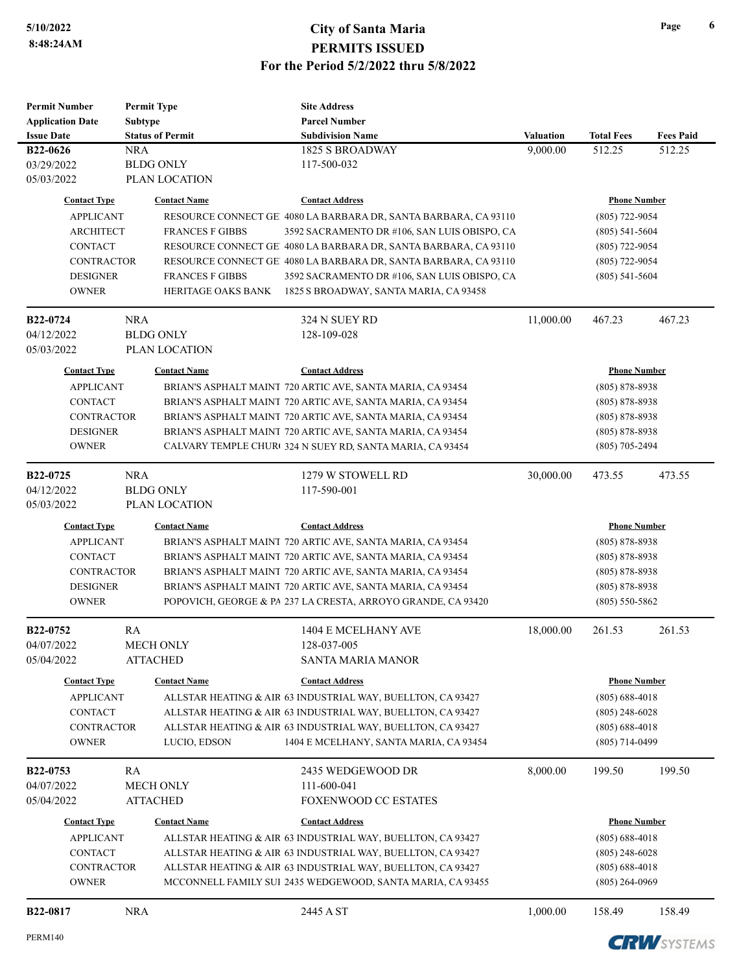| <b>Permit Number</b>    | <b>Permit Type</b>        | <b>Site Address</b>                                              |                  |                     |                       |
|-------------------------|---------------------------|------------------------------------------------------------------|------------------|---------------------|-----------------------|
| <b>Application Date</b> | <b>Subtype</b>            | <b>Parcel Number</b>                                             |                  |                     |                       |
| <b>Issue Date</b>       | <b>Status of Permit</b>   | <b>Subdivision Name</b>                                          | <b>Valuation</b> | <b>Total Fees</b>   | <b>Fees Paid</b>      |
| B22-0626                | <b>NRA</b>                | 1825 S BROADWAY                                                  | 9,000.00         | 512.25              | 512.25                |
| 03/29/2022              | <b>BLDG ONLY</b>          | 117-500-032                                                      |                  |                     |                       |
| 05/03/2022              | PLAN LOCATION             |                                                                  |                  |                     |                       |
| <b>Contact Type</b>     | <b>Contact Name</b>       | <b>Contact Address</b>                                           |                  | <b>Phone Number</b> |                       |
| <b>APPLICANT</b>        |                           | RESOURCE CONNECT GEI 4080 LA BARBARA DR, SANTA BARBARA, CA 93110 |                  | $(805)$ 722-9054    |                       |
| <b>ARCHITECT</b>        | <b>FRANCES F GIBBS</b>    | 3592 SACRAMENTO DR #106, SAN LUIS OBISPO, CA                     |                  | $(805)$ 541-5604    |                       |
| <b>CONTACT</b>          |                           | RESOURCE CONNECT GE 4080 LA BARBARA DR, SANTA BARBARA, CA 93110  |                  | $(805)$ 722-9054    |                       |
| <b>CONTRACTOR</b>       |                           | RESOURCE CONNECT GE! 4080 LA BARBARA DR, SANTA BARBARA, CA 93110 |                  | $(805)$ 722-9054    |                       |
| <b>DESIGNER</b>         | <b>FRANCES F GIBBS</b>    | 3592 SACRAMENTO DR #106, SAN LUIS OBISPO, CA                     |                  | $(805)$ 541-5604    |                       |
| <b>OWNER</b>            | <b>HERITAGE OAKS BANK</b> | 1825 S BROADWAY, SANTA MARIA, CA 93458                           |                  |                     |                       |
|                         |                           |                                                                  |                  |                     |                       |
| B22-0724                | <b>NRA</b>                | 324 N SUEY RD                                                    | 11,000.00        | 467.23              | 467.23                |
| 04/12/2022              | <b>BLDG ONLY</b>          | 128-109-028                                                      |                  |                     |                       |
| 05/03/2022              | PLAN LOCATION             |                                                                  |                  |                     |                       |
| <b>Contact Type</b>     | <b>Contact Name</b>       | <b>Contact Address</b>                                           |                  | <b>Phone Number</b> |                       |
| <b>APPLICANT</b>        |                           | BRIAN'S ASPHALT MAINT 720 ARTIC AVE, SANTA MARIA, CA 93454       |                  | $(805) 878 - 8938$  |                       |
| <b>CONTACT</b>          |                           | BRIAN'S ASPHALT MAINT 720 ARTIC AVE, SANTA MARIA, CA 93454       |                  | $(805) 878 - 8938$  |                       |
| <b>CONTRACTOR</b>       |                           | BRIAN'S ASPHALT MAINT 720 ARTIC AVE, SANTA MARIA, CA 93454       |                  | $(805) 878 - 8938$  |                       |
| <b>DESIGNER</b>         |                           | BRIAN'S ASPHALT MAINT 720 ARTIC AVE, SANTA MARIA, CA 93454       |                  | $(805) 878 - 8938$  |                       |
|                         |                           |                                                                  |                  |                     |                       |
| <b>OWNER</b>            |                           | CALVARY TEMPLE CHUR(324 N SUEY RD, SANTA MARIA, CA 93454         |                  | $(805)$ 705-2494    |                       |
| B <sub>22</sub> -0725   | <b>NRA</b>                | 1279 W STOWELL RD                                                | 30,000.00        | 473.55              | 473.55                |
| 04/12/2022              | <b>BLDG ONLY</b>          | 117-590-001                                                      |                  |                     |                       |
| 05/03/2022              | PLAN LOCATION             |                                                                  |                  |                     |                       |
| <b>Contact Type</b>     | <b>Contact Name</b>       | <b>Contact Address</b>                                           |                  | <b>Phone Number</b> |                       |
| <b>APPLICANT</b>        |                           | BRIAN'S ASPHALT MAINT 720 ARTIC AVE, SANTA MARIA, CA 93454       |                  | $(805)$ 878-8938    |                       |
| <b>CONTACT</b>          |                           | BRIAN'S ASPHALT MAINT 720 ARTIC AVE, SANTA MARIA, CA 93454       |                  | $(805) 878 - 8938$  |                       |
| <b>CONTRACTOR</b>       |                           | BRIAN'S ASPHALT MAINT 720 ARTIC AVE, SANTA MARIA, CA 93454       |                  | $(805) 878 - 8938$  |                       |
| <b>DESIGNER</b>         |                           | BRIAN'S ASPHALT MAINT 720 ARTIC AVE, SANTA MARIA, CA 93454       |                  | $(805) 878 - 8938$  |                       |
| <b>OWNER</b>            |                           | POPOVICH, GEORGE & PA 237 LA CRESTA, ARROYO GRANDE, CA 93420     |                  | $(805)$ 550-5862    |                       |
|                         |                           |                                                                  |                  |                     |                       |
| B22-0752                | RA                        | 1404 E MCELHANY AVE                                              | 18,000.00        | 261.53              | 261.53                |
| 04/07/2022              | <b>MECH ONLY</b>          | 128-037-005                                                      |                  |                     |                       |
| 05/04/2022              | <b>ATTACHED</b>           | <b>SANTA MARIA MANOR</b>                                         |                  |                     |                       |
| <b>Contact Type</b>     | <b>Contact Name</b>       | <b>Contact Address</b>                                           |                  | <b>Phone Number</b> |                       |
| <b>APPLICANT</b>        |                           | ALLSTAR HEATING & AIR 63 INDUSTRIAL WAY, BUELLTON, CA 93427      |                  | $(805) 688 - 4018$  |                       |
| <b>CONTACT</b>          |                           | ALLSTAR HEATING & AIR 63 INDUSTRIAL WAY, BUELLTON, CA 93427      |                  | $(805)$ 248-6028    |                       |
| <b>CONTRACTOR</b>       |                           | ALLSTAR HEATING & AIR 63 INDUSTRIAL WAY, BUELLTON, CA 93427      |                  | $(805) 688 - 4018$  |                       |
| <b>OWNER</b>            | LUCIO, EDSON              | 1404 E MCELHANY, SANTA MARIA, CA 93454                           |                  | $(805)$ 714-0499    |                       |
|                         |                           |                                                                  |                  |                     |                       |
| <b>B22-0753</b>         | RA                        | 2435 WEDGEWOOD DR                                                | 8,000.00         | 199.50              | 199.50                |
| 04/07/2022              | <b>MECH ONLY</b>          | 111-600-041                                                      |                  |                     |                       |
| 05/04/2022              | <b>ATTACHED</b>           | <b>FOXENWOOD CC ESTATES</b>                                      |                  |                     |                       |
| <b>Contact Type</b>     | <b>Contact Name</b>       | <b>Contact Address</b>                                           |                  | <b>Phone Number</b> |                       |
| <b>APPLICANT</b>        |                           | ALLSTAR HEATING & AIR 63 INDUSTRIAL WAY, BUELLTON, CA 93427      |                  | $(805) 688 - 4018$  |                       |
| <b>CONTACT</b>          |                           | ALLSTAR HEATING & AIR 63 INDUSTRIAL WAY, BUELLTON, CA 93427      |                  | $(805)$ 248-6028    |                       |
| CONTRACTOR              |                           | ALLSTAR HEATING & AIR 63 INDUSTRIAL WAY, BUELLTON, CA 93427      |                  | $(805) 688 - 4018$  |                       |
| <b>OWNER</b>            |                           | MCCONNELL FAMILY SUI 2435 WEDGEWOOD, SANTA MARIA, CA 93455       |                  | $(805)$ 264-0969    |                       |
|                         |                           |                                                                  |                  |                     |                       |
| B22-0817                | <b>NRA</b>                | 2445 A ST                                                        | 1,000.00         | 158.49              | 158.49                |
| PERM140                 |                           |                                                                  |                  |                     | <b>CDIAL</b> CVCTELLS |

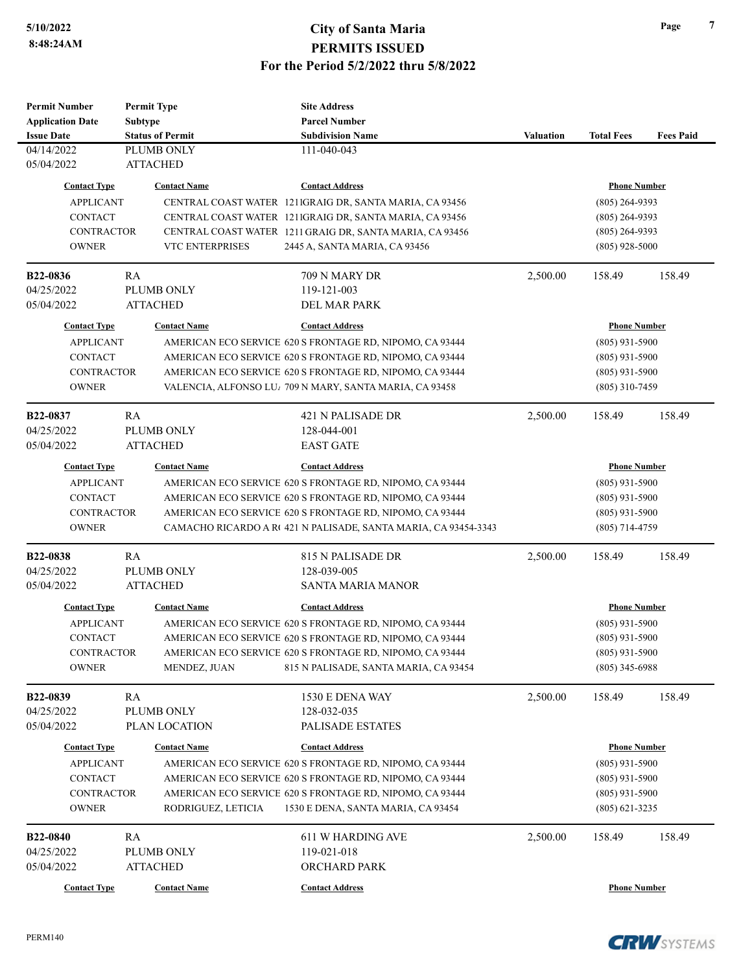| <b>Permit Number</b>    | <b>Permit Type</b>      | <b>Site Address</b>                                                 |                  |                     |                  |
|-------------------------|-------------------------|---------------------------------------------------------------------|------------------|---------------------|------------------|
| <b>Application Date</b> | <b>Subtype</b>          | <b>Parcel Number</b>                                                |                  |                     |                  |
| <b>Issue Date</b>       | <b>Status of Permit</b> | <b>Subdivision Name</b>                                             | <b>Valuation</b> | <b>Total Fees</b>   | <b>Fees Paid</b> |
| 04/14/2022              | PLUMB ONLY              | 111-040-043                                                         |                  |                     |                  |
| 05/04/2022              | <b>ATTACHED</b>         |                                                                     |                  |                     |                  |
| <b>Contact Type</b>     | <b>Contact Name</b>     | <b>Contact Address</b>                                              |                  | <b>Phone Number</b> |                  |
| <b>APPLICANT</b>        |                         | CENTRAL COAST WATER 1211GRAIG DR, SANTA MARIA, CA 93456             | $(805)$ 264-9393 |                     |                  |
| <b>CONTACT</b>          |                         | CENTRAL COAST WATER 1211GRAIG DR, SANTA MARIA, CA 93456             |                  | $(805)$ 264-9393    |                  |
| <b>CONTRACTOR</b>       |                         | CENTRAL COAST WATER 1211 GRAIG DR, SANTA MARIA, CA 93456            |                  | $(805)$ 264-9393    |                  |
| <b>OWNER</b>            | <b>VTC ENTERPRISES</b>  | 2445 A, SANTA MARIA, CA 93456                                       |                  | $(805)$ 928-5000    |                  |
|                         |                         |                                                                     |                  |                     |                  |
| B22-0836                | RA                      | 709 N MARY DR                                                       | 2,500.00         | 158.49              | 158.49           |
| 04/25/2022              | PLUMB ONLY              | 119-121-003                                                         |                  |                     |                  |
| 05/04/2022              | <b>ATTACHED</b>         | <b>DEL MAR PARK</b>                                                 |                  |                     |                  |
| <b>Contact Type</b>     | <b>Contact Name</b>     | <b>Contact Address</b>                                              |                  | <b>Phone Number</b> |                  |
| <b>APPLICANT</b>        |                         | AMERICAN ECO SERVICE 620 S FRONTAGE RD, NIPOMO, CA 93444            |                  | $(805)$ 931-5900    |                  |
| <b>CONTACT</b>          |                         | AMERICAN ECO SERVICE 620 S FRONTAGE RD, NIPOMO, CA 93444            |                  | $(805)$ 931-5900    |                  |
| <b>CONTRACTOR</b>       |                         | AMERICAN ECO SERVICE 620 S FRONTAGE RD, NIPOMO, CA 93444            |                  | $(805)$ 931-5900    |                  |
| <b>OWNER</b>            |                         | VALENCIA, ALFONSO LU <sub>I</sub> 709 N MARY, SANTA MARIA, CA 93458 |                  | $(805)$ 310-7459    |                  |
|                         |                         |                                                                     |                  |                     |                  |
| B22-0837                | RA                      | 421 N PALISADE DR                                                   | 2,500.00         | 158.49              | 158.49           |
| 04/25/2022              | PLUMB ONLY              | 128-044-001                                                         |                  |                     |                  |
| 05/04/2022              | <b>ATTACHED</b>         | <b>EAST GATE</b>                                                    |                  |                     |                  |
| <b>Contact Type</b>     | <b>Contact Name</b>     | <b>Contact Address</b>                                              |                  | <b>Phone Number</b> |                  |
|                         |                         |                                                                     |                  |                     |                  |
| <b>APPLICANT</b>        |                         | AMERICAN ECO SERVICE 620 S FRONTAGE RD, NIPOMO, CA 93444            |                  | $(805)$ 931-5900    |                  |
| <b>CONTACT</b>          |                         | AMERICAN ECO SERVICE 620 S FRONTAGE RD, NIPOMO, CA 93444            |                  | $(805)$ 931-5900    |                  |
| <b>CONTRACTOR</b>       |                         | AMERICAN ECO SERVICE 620 S FRONTAGE RD, NIPOMO, CA 93444            |                  | $(805)$ 931-5900    |                  |
| <b>OWNER</b>            |                         | CAMACHO RICARDO A RC 421 N PALISADE, SANTA MARIA, CA 93454-3343     |                  | $(805)$ 714-4759    |                  |
| B22-0838                | RA                      | 815 N PALISADE DR                                                   | 2,500.00         | 158.49              | 158.49           |
| 04/25/2022              | PLUMB ONLY              | 128-039-005                                                         |                  |                     |                  |
| 05/04/2022              | <b>ATTACHED</b>         | <b>SANTA MARIA MANOR</b>                                            |                  |                     |                  |
|                         |                         |                                                                     |                  |                     |                  |
| <b>Contact Type</b>     | <b>Contact Name</b>     | <b>Contact Address</b>                                              |                  | <b>Phone Number</b> |                  |
| <b>APPLICANT</b>        |                         | AMERICAN ECO SERVICE 620 S FRONTAGE RD, NIPOMO, CA 93444            |                  | $(805)$ 931-5900    |                  |
| <b>CONTACT</b>          |                         | AMERICAN ECO SERVICE 620 S FRONTAGE RD, NIPOMO, CA 93444            |                  | $(805)$ 931-5900    |                  |
| CONTRACTOR              |                         | AMERICAN ECO SERVICE 620 S FRONTAGE RD, NIPOMO, CA 93444            |                  | $(805)$ 931-5900    |                  |
| <b>OWNER</b>            | MENDEZ, JUAN            | 815 N PALISADE, SANTA MARIA, CA 93454                               |                  | $(805)$ 345-6988    |                  |
| B22-0839                | RA                      | 1530 E DENA WAY                                                     | 2,500.00         | 158.49              | 158.49           |
| 04/25/2022              | PLUMB ONLY              | 128-032-035                                                         |                  |                     |                  |
| 05/04/2022              | PLAN LOCATION           | <b>PALISADE ESTATES</b>                                             |                  |                     |                  |
|                         |                         |                                                                     |                  |                     |                  |
| <b>Contact Type</b>     | <b>Contact Name</b>     | <b>Contact Address</b>                                              |                  | <b>Phone Number</b> |                  |
| <b>APPLICANT</b>        |                         | AMERICAN ECO SERVICE 620 S FRONTAGE RD, NIPOMO, CA 93444            |                  | $(805)$ 931-5900    |                  |
| <b>CONTACT</b>          |                         | AMERICAN ECO SERVICE 620 S FRONTAGE RD, NIPOMO, CA 93444            |                  | $(805)$ 931-5900    |                  |
| <b>CONTRACTOR</b>       |                         | AMERICAN ECO SERVICE 620 S FRONTAGE RD, NIPOMO, CA 93444            |                  | $(805)$ 931-5900    |                  |
| <b>OWNER</b>            | RODRIGUEZ, LETICIA      | 1530 E DENA, SANTA MARIA, CA 93454                                  |                  | $(805)$ 621-3235    |                  |
| B22-0840                | RA                      | <b>611 W HARDING AVE</b>                                            | 2,500.00         | 158.49              | 158.49           |
| 04/25/2022              | PLUMB ONLY              | 119-021-018                                                         |                  |                     |                  |
| 05/04/2022              | <b>ATTACHED</b>         | ORCHARD PARK                                                        |                  |                     |                  |
|                         |                         |                                                                     |                  |                     |                  |
| <b>Contact Type</b>     | <b>Contact Name</b>     | <b>Contact Address</b>                                              |                  | <b>Phone Number</b> |                  |

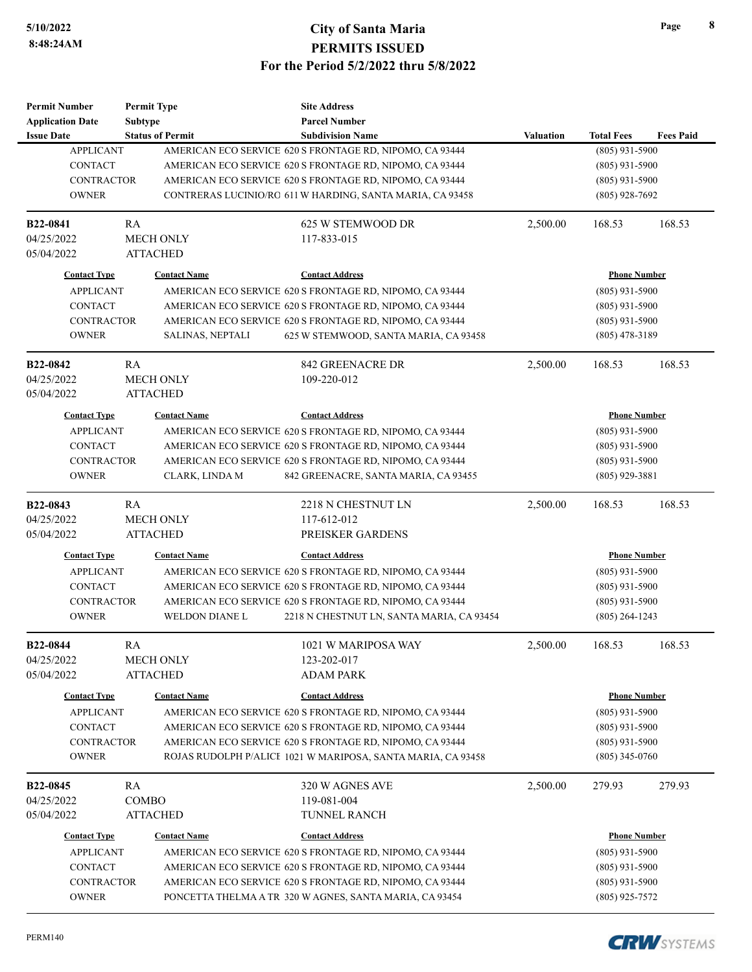| <b>Permit Number</b>    | <b>Permit Type</b> |                         | <b>Site Address</b>                                          |                  |                     |                  |
|-------------------------|--------------------|-------------------------|--------------------------------------------------------------|------------------|---------------------|------------------|
| <b>Application Date</b> | <b>Subtype</b>     |                         | <b>Parcel Number</b>                                         |                  |                     |                  |
| <b>Issue Date</b>       |                    | <b>Status of Permit</b> | <b>Subdivision Name</b>                                      | <b>Valuation</b> | <b>Total Fees</b>   | <b>Fees Paid</b> |
| <b>APPLICANT</b>        |                    |                         | AMERICAN ECO SERVICE 620 S FRONTAGE RD, NIPOMO, CA 93444     |                  | $(805)$ 931-5900    |                  |
| <b>CONTACT</b>          |                    |                         | AMERICAN ECO SERVICE 620 S FRONTAGE RD, NIPOMO, CA 93444     |                  | $(805)$ 931-5900    |                  |
| <b>CONTRACTOR</b>       |                    |                         | AMERICAN ECO SERVICE 620 S FRONTAGE RD, NIPOMO, CA 93444     |                  | $(805)$ 931-5900    |                  |
| <b>OWNER</b>            |                    |                         | CONTRERAS LUCINIO/RO 611 W HARDING, SANTA MARIA, CA 93458    |                  | $(805)$ 928-7692    |                  |
| B22-0841                | RA                 |                         | 625 W STEMWOOD DR                                            | 2,500.00         | 168.53              | 168.53           |
| 04/25/2022              |                    | MECH ONLY               | 117-833-015                                                  |                  |                     |                  |
| 05/04/2022              |                    | <b>ATTACHED</b>         |                                                              |                  |                     |                  |
| <b>Contact Type</b>     |                    | <b>Contact Name</b>     | <b>Contact Address</b>                                       |                  | <b>Phone Number</b> |                  |
| <b>APPLICANT</b>        |                    |                         | AMERICAN ECO SERVICE 620 S FRONTAGE RD, NIPOMO, CA 93444     |                  | $(805)$ 931-5900    |                  |
| <b>CONTACT</b>          |                    |                         | AMERICAN ECO SERVICE 620 S FRONTAGE RD, NIPOMO, CA 93444     |                  | $(805)$ 931-5900    |                  |
| <b>CONTRACTOR</b>       |                    |                         | AMERICAN ECO SERVICE 620 S FRONTAGE RD, NIPOMO, CA 93444     |                  | $(805)$ 931-5900    |                  |
| <b>OWNER</b>            |                    | SALINAS, NEPTALI        | 625 W STEMWOOD, SANTA MARIA, CA 93458                        |                  | $(805)$ 478-3189    |                  |
| <b>B22-0842</b>         | <b>RA</b>          |                         | <b>842 GREENACRE DR</b>                                      | 2,500.00         | 168.53              | 168.53           |
| 04/25/2022              |                    | <b>MECH ONLY</b>        | 109-220-012                                                  |                  |                     |                  |
| 05/04/2022              |                    | <b>ATTACHED</b>         |                                                              |                  |                     |                  |
| <b>Contact Type</b>     |                    | <b>Contact Name</b>     | <b>Contact Address</b>                                       |                  | <b>Phone Number</b> |                  |
| <b>APPLICANT</b>        |                    |                         | AMERICAN ECO SERVICE 620 S FRONTAGE RD, NIPOMO, CA 93444     |                  | $(805)$ 931-5900    |                  |
| <b>CONTACT</b>          |                    |                         | AMERICAN ECO SERVICE 620 S FRONTAGE RD, NIPOMO, CA 93444     |                  | $(805)$ 931-5900    |                  |
| <b>CONTRACTOR</b>       |                    |                         | AMERICAN ECO SERVICE 620 S FRONTAGE RD, NIPOMO, CA 93444     |                  | $(805)$ 931-5900    |                  |
| <b>OWNER</b>            |                    | CLARK, LINDA M          | 842 GREENACRE, SANTA MARIA, CA 93455                         |                  | $(805)$ 929-3881    |                  |
| <b>B22-0843</b>         | <b>RA</b>          |                         | 2218 N CHESTNUT LN                                           | 2,500.00         | 168.53              | 168.53           |
| 04/25/2022              |                    | MECH ONLY               | 117-612-012                                                  |                  |                     |                  |
| 05/04/2022              |                    | <b>ATTACHED</b>         | PREISKER GARDENS                                             |                  |                     |                  |
| <b>Contact Type</b>     |                    | <b>Contact Name</b>     | <b>Contact Address</b>                                       |                  | <b>Phone Number</b> |                  |
| <b>APPLICANT</b>        |                    |                         | AMERICAN ECO SERVICE 620 S FRONTAGE RD, NIPOMO, CA 93444     |                  | $(805)$ 931-5900    |                  |
| <b>CONTACT</b>          |                    |                         | AMERICAN ECO SERVICE 620 S FRONTAGE RD, NIPOMO, CA 93444     |                  | $(805)$ 931-5900    |                  |
| <b>CONTRACTOR</b>       |                    |                         | AMERICAN ECO SERVICE 620 S FRONTAGE RD, NIPOMO, CA 93444     |                  | $(805)$ 931-5900    |                  |
| <b>OWNER</b>            |                    | <b>WELDON DIANE L</b>   | 2218 N CHESTNUT LN, SANTA MARIA, CA 93454                    |                  | $(805)$ 264-1243    |                  |
| <b>B22-0844</b>         | RA                 |                         | 1021 W MARIPOSA WAY                                          | 2,500.00         | 168.53              | 168.53           |
| 04/25/2022              |                    | MECH ONLY               | 123-202-017                                                  |                  |                     |                  |
| 05/04/2022              |                    | <b>ATTACHED</b>         | <b>ADAM PARK</b>                                             |                  |                     |                  |
| <b>Contact Type</b>     |                    | <b>Contact Name</b>     | <b>Contact Address</b>                                       |                  | <b>Phone Number</b> |                  |
| <b>APPLICANT</b>        |                    |                         | AMERICAN ECO SERVICE 620 S FRONTAGE RD, NIPOMO, CA 93444     |                  | $(805)$ 931-5900    |                  |
| <b>CONTACT</b>          |                    |                         | AMERICAN ECO SERVICE 620 S FRONTAGE RD, NIPOMO, CA 93444     |                  | $(805)$ 931-5900    |                  |
| CONTRACTOR              |                    |                         | AMERICAN ECO SERVICE 620 S FRONTAGE RD, NIPOMO, CA 93444     |                  | $(805)$ 931-5900    |                  |
| <b>OWNER</b>            |                    |                         | ROJAS RUDOLPH P/ALICE 1021 W MARIPOSA, SANTA MARIA, CA 93458 |                  | $(805)$ 345-0760    |                  |
| B22-0845                | RA                 |                         | 320 W AGNES AVE                                              | 2,500.00         | 279.93              | 279.93           |
| 04/25/2022              | <b>COMBO</b>       |                         | 119-081-004                                                  |                  |                     |                  |
| 05/04/2022              |                    | <b>ATTACHED</b>         | TUNNEL RANCH                                                 |                  |                     |                  |
| <b>Contact Type</b>     |                    | <b>Contact Name</b>     | <b>Contact Address</b>                                       |                  | <b>Phone Number</b> |                  |
| <b>APPLICANT</b>        |                    |                         | AMERICAN ECO SERVICE 620 S FRONTAGE RD, NIPOMO, CA 93444     |                  | $(805)$ 931-5900    |                  |
| <b>CONTACT</b>          |                    |                         | AMERICAN ECO SERVICE 620 S FRONTAGE RD, NIPOMO, CA 93444     |                  | $(805)$ 931-5900    |                  |
| CONTRACTOR              |                    |                         | AMERICAN ECO SERVICE 620 S FRONTAGE RD, NIPOMO, CA 93444     |                  | $(805)$ 931-5900    |                  |
| <b>OWNER</b>            |                    |                         | PONCETTA THELMA A TR 320 W AGNES, SANTA MARIA, CA 93454      |                  | $(805)$ 925-7572    |                  |
|                         |                    |                         |                                                              |                  |                     |                  |



**Page 8**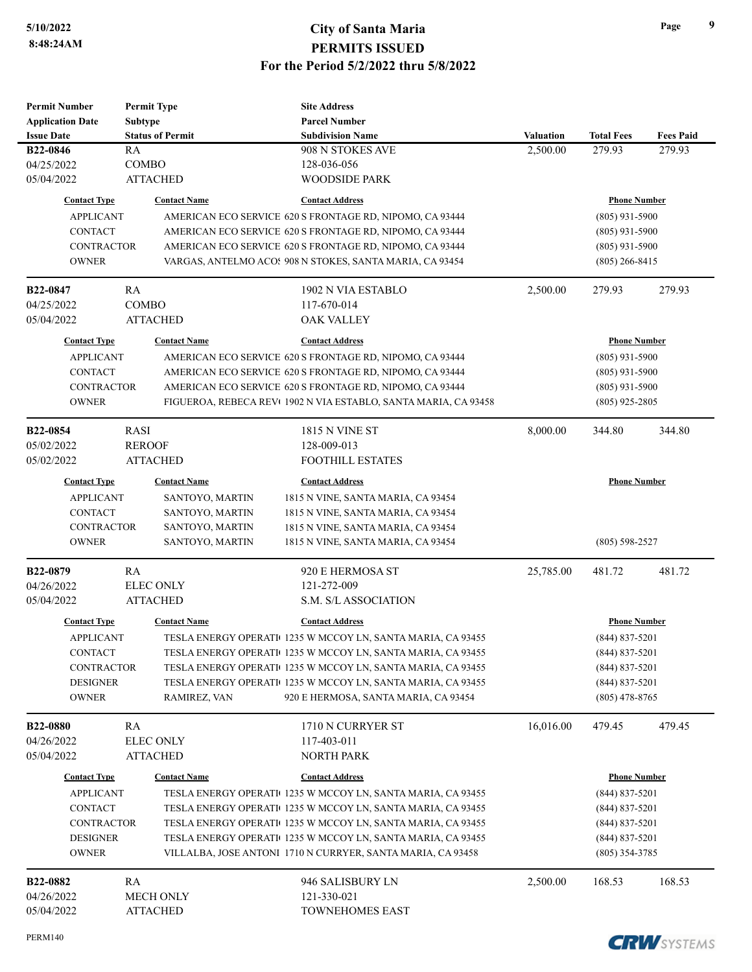| <b>Permit Number</b>    |                | <b>Permit Type</b>      | <b>Site Address</b>                                            |                  |                     |                  |
|-------------------------|----------------|-------------------------|----------------------------------------------------------------|------------------|---------------------|------------------|
| <b>Application Date</b> | <b>Subtype</b> |                         | <b>Parcel Number</b>                                           |                  |                     |                  |
| <b>Issue Date</b>       |                | <b>Status of Permit</b> | <b>Subdivision Name</b>                                        | <b>Valuation</b> | <b>Total Fees</b>   | <b>Fees Paid</b> |
| B22-0846                | RA             |                         | 908 N STOKES AVE                                               | 2,500.00         | 279.93              | 279.93           |
| 04/25/2022              | COMBO          |                         | 128-036-056                                                    |                  |                     |                  |
| 05/04/2022              |                | <b>ATTACHED</b>         | <b>WOODSIDE PARK</b>                                           |                  |                     |                  |
| <b>Contact Type</b>     |                | <b>Contact Name</b>     | <b>Contact Address</b>                                         |                  | <b>Phone Number</b> |                  |
| <b>APPLICANT</b>        |                |                         | AMERICAN ECO SERVICE 620 S FRONTAGE RD, NIPOMO, CA 93444       |                  | $(805)$ 931-5900    |                  |
|                         |                |                         | AMERICAN ECO SERVICE 620 S FRONTAGE RD, NIPOMO, CA 93444       |                  |                     |                  |
| <b>CONTACT</b>          |                |                         |                                                                |                  | $(805)$ 931-5900    |                  |
| <b>CONTRACTOR</b>       |                |                         | AMERICAN ECO SERVICE 620 S FRONTAGE RD, NIPOMO, CA 93444       |                  | $(805)$ 931-5900    |                  |
| <b>OWNER</b>            |                |                         | VARGAS, ANTELMO ACOS 908 N STOKES, SANTA MARIA, CA 93454       |                  | $(805)$ 266-8415    |                  |
| <b>B22-0847</b>         | RA             |                         | 1902 N VIA ESTABLO                                             | 2,500.00         | 279.93              | 279.93           |
| 04/25/2022              | <b>COMBO</b>   |                         | 117-670-014                                                    |                  |                     |                  |
| 05/04/2022              |                | <b>ATTACHED</b>         | <b>OAK VALLEY</b>                                              |                  |                     |                  |
|                         |                |                         |                                                                |                  |                     |                  |
| <b>Contact Type</b>     |                | <b>Contact Name</b>     | <b>Contact Address</b>                                         |                  | <b>Phone Number</b> |                  |
| <b>APPLICANT</b>        |                |                         | AMERICAN ECO SERVICE 620 S FRONTAGE RD, NIPOMO, CA 93444       |                  | $(805)$ 931-5900    |                  |
| <b>CONTACT</b>          |                |                         | AMERICAN ECO SERVICE 620 S FRONTAGE RD, NIPOMO, CA 93444       |                  | $(805)$ 931-5900    |                  |
| <b>CONTRACTOR</b>       |                |                         | AMERICAN ECO SERVICE 620 S FRONTAGE RD, NIPOMO, CA 93444       |                  | $(805)$ 931-5900    |                  |
| <b>OWNER</b>            |                |                         | FIGUEROA, REBECA REV(1902 N VIA ESTABLO, SANTA MARIA, CA 93458 |                  | $(805)$ 925-2805    |                  |
| B22-0854                | <b>RASI</b>    |                         | <b>1815 N VINE ST</b>                                          | 8,000.00         | 344.80              | 344.80           |
| 05/02/2022              | <b>REROOF</b>  |                         | 128-009-013                                                    |                  |                     |                  |
| 05/02/2022              |                | <b>ATTACHED</b>         | <b>FOOTHILL ESTATES</b>                                        |                  |                     |                  |
|                         |                |                         |                                                                |                  |                     |                  |
| <b>Contact Type</b>     |                | <b>Contact Name</b>     | <b>Contact Address</b>                                         |                  | <b>Phone Number</b> |                  |
| <b>APPLICANT</b>        |                | SANTOYO, MARTIN         | 1815 N VINE, SANTA MARIA, CA 93454                             |                  |                     |                  |
| <b>CONTACT</b>          |                | SANTOYO, MARTIN         | 1815 N VINE, SANTA MARIA, CA 93454                             |                  |                     |                  |
| <b>CONTRACTOR</b>       |                | SANTOYO, MARTIN         | 1815 N VINE, SANTA MARIA, CA 93454                             |                  |                     |                  |
| <b>OWNER</b>            |                | SANTOYO, MARTIN         | 1815 N VINE, SANTA MARIA, CA 93454                             |                  | $(805)$ 598-2527    |                  |
| B22-0879                | RA             |                         | 920 E HERMOSA ST                                               | 25,785.00        | 481.72              | 481.72           |
| 04/26/2022              |                | <b>ELEC ONLY</b>        | 121-272-009                                                    |                  |                     |                  |
| 05/04/2022              |                | <b>ATTACHED</b>         | S.M. S/L ASSOCIATION                                           |                  |                     |                  |
|                         |                |                         |                                                                |                  |                     |                  |
| <b>Contact Type</b>     |                | <b>Contact Name</b>     | <b>Contact Address</b>                                         |                  | <b>Phone Number</b> |                  |
| <b>APPLICANT</b>        |                |                         | TESLA ENERGY OPERATI(1235 W MCCOY LN, SANTA MARIA, CA 93455    |                  | $(844) 837 - 5201$  |                  |
| CONTACT                 |                |                         | TESLA ENERGY OPERATI( 1235 W MCCOY LN, SANTA MARIA, CA 93455   |                  | $(844)$ 837-5201    |                  |
| <b>CONTRACTOR</b>       |                |                         | TESLA ENERGY OPERATI(1235 W MCCOY LN, SANTA MARIA, CA 93455    |                  | $(844)$ 837-5201    |                  |
| <b>DESIGNER</b>         |                |                         | TESLA ENERGY OPERATI(1235 W MCCOY LN, SANTA MARIA, CA 93455    |                  | $(844) 837 - 5201$  |                  |
| <b>OWNER</b>            |                | RAMIREZ, VAN            | 920 E HERMOSA, SANTA MARIA, CA 93454                           |                  | $(805)$ 478-8765    |                  |
|                         |                |                         |                                                                |                  |                     |                  |
| <b>B22-0880</b>         | RA             |                         | 1710 N CURRYER ST                                              | 16,016.00        | 479.45              | 479.45           |
| 04/26/2022              |                | <b>ELEC ONLY</b>        | 117-403-011                                                    |                  |                     |                  |
| 05/04/2022              |                | <b>ATTACHED</b>         | <b>NORTH PARK</b>                                              |                  |                     |                  |
| <b>Contact Type</b>     |                | <b>Contact Name</b>     | <b>Contact Address</b>                                         |                  | <b>Phone Number</b> |                  |
| <b>APPLICANT</b>        |                |                         | TESLA ENERGY OPERATI(1235 W MCCOY LN, SANTA MARIA, CA 93455    |                  | $(844)$ 837-5201    |                  |
| <b>CONTACT</b>          |                |                         | TESLA ENERGY OPERATI(1235 W MCCOY LN, SANTA MARIA, CA 93455    |                  | $(844) 837 - 5201$  |                  |
| <b>CONTRACTOR</b>       |                |                         | TESLA ENERGY OPERATI(1235 W MCCOY LN, SANTA MARIA, CA 93455    |                  | $(844)$ 837-5201    |                  |
| <b>DESIGNER</b>         |                |                         | TESLA ENERGY OPERATI(1235 W MCCOY LN, SANTA MARIA, CA 93455    |                  | $(844)$ 837-5201    |                  |
| <b>OWNER</b>            |                |                         | VILLALBA, JOSE ANTONI 1710 N CURRYER, SANTA MARIA, CA 93458    |                  | $(805)$ 354-3785    |                  |
|                         |                |                         |                                                                |                  |                     |                  |
| B22-0882                | RA             |                         | 946 SALISBURY LN                                               | 2,500.00         | 168.53              | 168.53           |
| 04/26/2022              |                | <b>MECH ONLY</b>        | 121-330-021                                                    |                  |                     |                  |
| 05/04/2022              |                | <b>ATTACHED</b>         | TOWNEHOMES EAST                                                |                  |                     |                  |

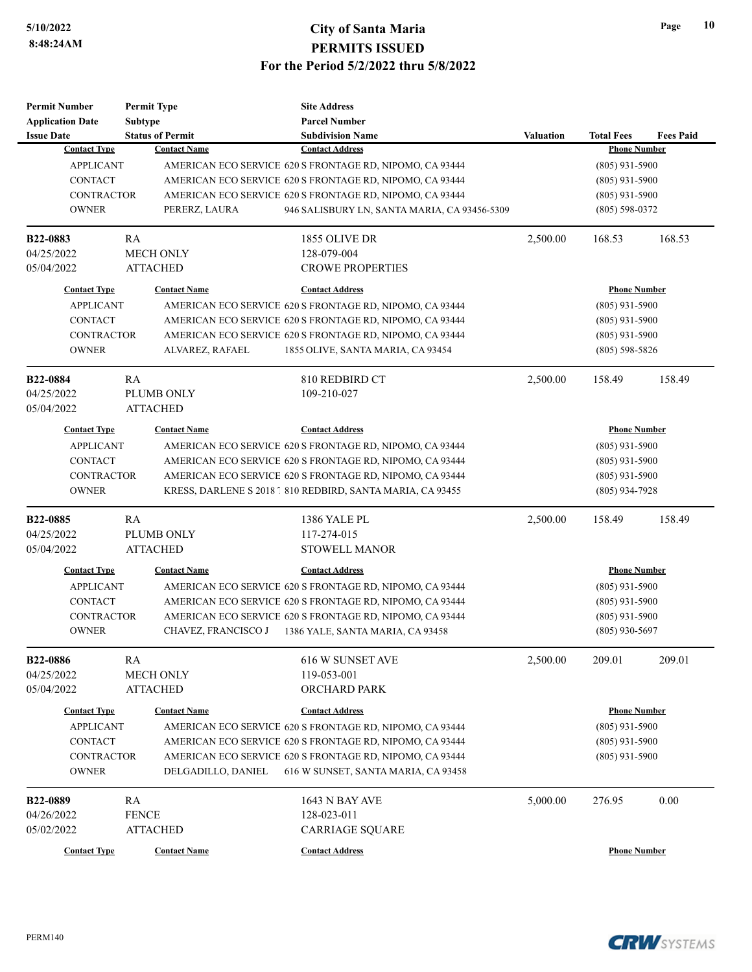| <b>Permit Number</b>    | <b>Permit Type</b>      | <b>Site Address</b>                                        |                  |                     |                  |
|-------------------------|-------------------------|------------------------------------------------------------|------------------|---------------------|------------------|
| <b>Application Date</b> | Subtype                 | <b>Parcel Number</b>                                       |                  |                     |                  |
| <b>Issue Date</b>       | <b>Status of Permit</b> | <b>Subdivision Name</b>                                    | <b>Valuation</b> | <b>Total Fees</b>   | <b>Fees Paid</b> |
| <b>Contact Type</b>     | <b>Contact Name</b>     | <b>Contact Address</b>                                     |                  | <b>Phone Number</b> |                  |
| <b>APPLICANT</b>        |                         | AMERICAN ECO SERVICE 620 S FRONTAGE RD, NIPOMO, CA 93444   |                  | $(805)$ 931-5900    |                  |
| <b>CONTACT</b>          |                         | AMERICAN ECO SERVICE 620 S FRONTAGE RD, NIPOMO, CA 93444   |                  | $(805)$ 931-5900    |                  |
| <b>CONTRACTOR</b>       |                         | AMERICAN ECO SERVICE 620 S FRONTAGE RD, NIPOMO, CA 93444   |                  | $(805)$ 931-5900    |                  |
| <b>OWNER</b>            | PERERZ, LAURA           | 946 SALISBURY LN, SANTA MARIA, CA 93456-5309               |                  | $(805) 598 - 0372$  |                  |
| <b>B22-0883</b>         | RA                      | 1855 OLIVE DR                                              | 2,500.00         | 168.53              | 168.53           |
| 04/25/2022              | <b>MECH ONLY</b>        | 128-079-004                                                |                  |                     |                  |
| 05/04/2022              | <b>ATTACHED</b>         | <b>CROWE PROPERTIES</b>                                    |                  |                     |                  |
| <b>Contact Type</b>     | <b>Contact Name</b>     | <b>Contact Address</b>                                     |                  | <b>Phone Number</b> |                  |
| <b>APPLICANT</b>        |                         | AMERICAN ECO SERVICE 620 S FRONTAGE RD, NIPOMO, CA 93444   |                  | $(805)$ 931-5900    |                  |
| <b>CONTACT</b>          |                         | AMERICAN ECO SERVICE 620 S FRONTAGE RD, NIPOMO, CA 93444   |                  | $(805)$ 931-5900    |                  |
| <b>CONTRACTOR</b>       |                         | AMERICAN ECO SERVICE 620 S FRONTAGE RD, NIPOMO, CA 93444   |                  | $(805)$ 931-5900    |                  |
| <b>OWNER</b>            | ALVAREZ, RAFAEL         | 1855 OLIVE, SANTA MARIA, CA 93454                          |                  | $(805)$ 598-5826    |                  |
| <b>B22-0884</b>         | RA                      | 810 REDBIRD CT                                             | 2,500.00         | 158.49              | 158.49           |
| 04/25/2022              | PLUMB ONLY              | 109-210-027                                                |                  |                     |                  |
| 05/04/2022              | <b>ATTACHED</b>         |                                                            |                  |                     |                  |
| <b>Contact Type</b>     | <b>Contact Name</b>     | <b>Contact Address</b>                                     |                  | <b>Phone Number</b> |                  |
| <b>APPLICANT</b>        |                         | AMERICAN ECO SERVICE 620 S FRONTAGE RD, NIPOMO, CA 93444   |                  | $(805)$ 931-5900    |                  |
| <b>CONTACT</b>          |                         | AMERICAN ECO SERVICE 620 S FRONTAGE RD, NIPOMO, CA 93444   | $(805)$ 931-5900 |                     |                  |
| <b>CONTRACTOR</b>       |                         | AMERICAN ECO SERVICE 620 S FRONTAGE RD, NIPOMO, CA 93444   |                  | $(805)$ 931-5900    |                  |
| <b>OWNER</b>            |                         | KRESS, DARLENE S 2018 1 810 REDBIRD, SANTA MARIA, CA 93455 |                  | $(805)$ 934-7928    |                  |
| B22-0885                | RA                      | 1386 YALE PL                                               | 2,500.00         | 158.49              | 158.49           |
| 04/25/2022              | PLUMB ONLY              | 117-274-015                                                |                  |                     |                  |
| 05/04/2022              | <b>ATTACHED</b>         | <b>STOWELL MANOR</b>                                       |                  |                     |                  |
| <b>Contact Type</b>     | <b>Contact Name</b>     | <b>Contact Address</b>                                     |                  | <b>Phone Number</b> |                  |
| <b>APPLICANT</b>        |                         | AMERICAN ECO SERVICE 620 S FRONTAGE RD, NIPOMO, CA 93444   |                  | $(805)$ 931-5900    |                  |
| <b>CONTACT</b>          |                         | AMERICAN ECO SERVICE 620 S FRONTAGE RD, NIPOMO, CA 93444   |                  | $(805)$ 931-5900    |                  |
| <b>CONTRACTOR</b>       |                         | AMERICAN ECO SERVICE 620 S FRONTAGE RD, NIPOMO, CA 93444   |                  | $(805)$ 931-5900    |                  |
| <b>OWNER</b>            | CHAVEZ, FRANCISCO J     | 1386 YALE, SANTA MARIA, CA 93458                           |                  | $(805)$ 930-5697    |                  |
|                         |                         |                                                            |                  |                     |                  |
| B22-0886                | <b>RA</b>               | 616 W SUNSET AVE                                           | 2,500.00         | 209.01              | 209.01           |
| 04/25/2022              | MECH ONLY               | 119-053-001                                                |                  |                     |                  |
| 05/04/2022              | <b>ATTACHED</b>         | <b>ORCHARD PARK</b>                                        |                  |                     |                  |
| <b>Contact Type</b>     | <b>Contact Name</b>     | <b>Contact Address</b>                                     |                  | <b>Phone Number</b> |                  |
| <b>APPLICANT</b>        |                         | AMERICAN ECO SERVICE 620 S FRONTAGE RD. NIPOMO, CA 93444   |                  | $(805)$ 931-5900    |                  |
| <b>CONTACT</b>          |                         | AMERICAN ECO SERVICE 620 S FRONTAGE RD, NIPOMO, CA 93444   | $(805)$ 931-5900 |                     |                  |
| CONTRACTOR              |                         | AMERICAN ECO SERVICE 620 S FRONTAGE RD, NIPOMO, CA 93444   |                  | $(805)$ 931-5900    |                  |
| <b>OWNER</b>            | DELGADILLO, DANIEL      | 616 W SUNSET, SANTA MARIA, CA 93458                        |                  |                     |                  |
| B22-0889                | RA                      | <b>1643 N BAY AVE</b>                                      | 5,000.00         | 276.95              | 0.00             |
| 04/26/2022              | <b>FENCE</b>            | 128-023-011                                                |                  |                     |                  |
| 05/02/2022              | <b>ATTACHED</b>         | <b>CARRIAGE SQUARE</b>                                     |                  |                     |                  |
|                         |                         | <b>Contact Address</b>                                     |                  |                     |                  |
| <b>Contact Type</b>     | <b>Contact Name</b>     |                                                            |                  | <b>Phone Number</b> |                  |



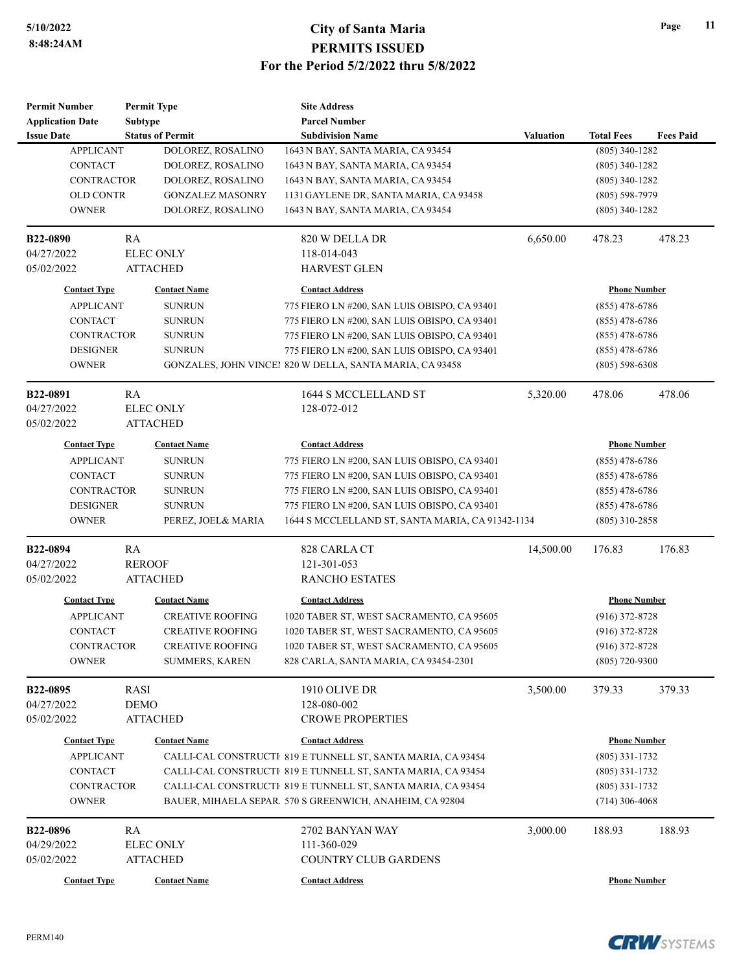| <b>Permit Number</b>    |                | <b>Permit Type</b>      | <b>Site Address</b>                                          |                  |                     |                  |
|-------------------------|----------------|-------------------------|--------------------------------------------------------------|------------------|---------------------|------------------|
| <b>Application Date</b> | <b>Subtype</b> |                         | <b>Parcel Number</b>                                         |                  |                     |                  |
| <b>Issue Date</b>       |                | <b>Status of Permit</b> | <b>Subdivision Name</b>                                      | <b>Valuation</b> | <b>Total Fees</b>   | <b>Fees Paid</b> |
| <b>APPLICANT</b>        |                | DOLOREZ, ROSALINO       | 1643 N BAY, SANTA MARIA, CA 93454                            |                  | $(805)$ 340-1282    |                  |
| <b>CONTACT</b>          |                | DOLOREZ, ROSALINO       | 1643 N BAY, SANTA MARIA, CA 93454                            |                  | $(805)$ 340-1282    |                  |
| CONTRACTOR              |                | DOLOREZ, ROSALINO       | 1643 N BAY, SANTA MARIA, CA 93454                            |                  | $(805)$ 340-1282    |                  |
| <b>OLD CONTR</b>        |                | <b>GONZALEZ MASONRY</b> | 1131 GAYLENE DR, SANTA MARIA, CA 93458                       |                  | $(805) 598 - 7979$  |                  |
| <b>OWNER</b>            |                | DOLOREZ, ROSALINO       | 1643 N BAY, SANTA MARIA, CA 93454                            |                  | $(805)$ 340-1282    |                  |
| B22-0890                | RA             |                         | 820 W DELLA DR                                               | 6,650.00         | 478.23              | 478.23           |
| 04/27/2022              |                | <b>ELEC ONLY</b>        | 118-014-043                                                  |                  |                     |                  |
| 05/02/2022              |                | <b>ATTACHED</b>         | <b>HARVEST GLEN</b>                                          |                  |                     |                  |
| <b>Contact Type</b>     |                | <b>Contact Name</b>     | <b>Contact Address</b>                                       |                  | <b>Phone Number</b> |                  |
| <b>APPLICANT</b>        |                | <b>SUNRUN</b>           | 775 FIERO LN #200, SAN LUIS OBISPO, CA 93401                 |                  | $(855)$ 478-6786    |                  |
| <b>CONTACT</b>          |                | <b>SUNRUN</b>           | 775 FIERO LN #200, SAN LUIS OBISPO, CA 93401                 |                  | $(855)$ 478-6786    |                  |
| CONTRACTOR              |                | <b>SUNRUN</b>           | 775 FIERO LN #200, SAN LUIS OBISPO, CA 93401                 |                  | $(855)$ 478-6786    |                  |
| <b>DESIGNER</b>         |                | <b>SUNRUN</b>           | 775 FIERO LN #200, SAN LUIS OBISPO, CA 93401                 |                  | $(855)$ 478-6786    |                  |
| <b>OWNER</b>            |                |                         | GONZALES, JOHN VINCEI 820 W DELLA, SANTA MARIA, CA 93458     |                  | $(805)$ 598-6308    |                  |
| B22-0891                | RA             |                         | 1644 S MCCLELLAND ST                                         | 5,320.00         | 478.06              | 478.06           |
| 04/27/2022              |                | <b>ELEC ONLY</b>        | 128-072-012                                                  |                  |                     |                  |
| 05/02/2022              |                | <b>ATTACHED</b>         |                                                              |                  |                     |                  |
| <b>Contact Type</b>     |                | <b>Contact Name</b>     | <b>Contact Address</b>                                       |                  | <b>Phone Number</b> |                  |
| <b>APPLICANT</b>        |                | <b>SUNRUN</b>           | 775 FIERO LN #200, SAN LUIS OBISPO, CA 93401                 |                  | $(855)$ 478-6786    |                  |
| CONTACT                 |                | <b>SUNRUN</b>           | 775 FIERO LN #200, SAN LUIS OBISPO, CA 93401                 |                  | (855) 478-6786      |                  |
| <b>CONTRACTOR</b>       |                | <b>SUNRUN</b>           | 775 FIERO LN #200, SAN LUIS OBISPO, CA 93401                 |                  | $(855)$ 478-6786    |                  |
| <b>DESIGNER</b>         |                | <b>SUNRUN</b>           | 775 FIERO LN #200, SAN LUIS OBISPO, CA 93401                 |                  | $(855)$ 478-6786    |                  |
| <b>OWNER</b>            |                | PEREZ, JOEL& MARIA      | 1644 S MCCLELLAND ST, SANTA MARIA, CA 91342-1134             |                  | $(805)$ 310-2858    |                  |
| B22-0894                | RA             |                         | 828 CARLA CT                                                 | 14,500.00        | 176.83              | 176.83           |
| 04/27/2022              | <b>REROOF</b>  |                         | 121-301-053                                                  |                  |                     |                  |
| 05/02/2022              |                | <b>ATTACHED</b>         | <b>RANCHO ESTATES</b>                                        |                  |                     |                  |
| <b>Contact Type</b>     |                | <b>Contact Name</b>     | <b>Contact Address</b>                                       |                  | <b>Phone Number</b> |                  |
| <b>APPLICANT</b>        |                | <b>CREATIVE ROOFING</b> | 1020 TABER ST, WEST SACRAMENTO, CA 95605                     |                  | $(916)$ 372-8728    |                  |
| <b>CONTACT</b>          |                | <b>CREATIVE ROOFING</b> | 1020 TABER ST, WEST SACRAMENTO, CA 95605                     |                  | $(916)$ 372-8728    |                  |
| CONTRACTOR              |                | CREATIVE ROOFING        | 1020 TABER ST, WEST SACRAMENTO, CA 95605                     |                  | $(916)$ 372-8728    |                  |
| <b>OWNER</b>            |                | <b>SUMMERS, KAREN</b>   | 828 CARLA, SANTA MARIA, CA 93454-2301                        |                  | $(805)$ 720-9300    |                  |
| B22-0895                | RASI           |                         | 1910 OLIVE DR                                                | 3,500.00         | 379.33              | 379.33           |
| 04/27/2022              | <b>DEMO</b>    |                         | 128-080-002                                                  |                  |                     |                  |
| 05/02/2022              |                | <b>ATTACHED</b>         | <b>CROWE PROPERTIES</b>                                      |                  |                     |                  |
| <b>Contact Type</b>     |                | <b>Contact Name</b>     | <b>Contact Address</b>                                       |                  | <b>Phone Number</b> |                  |
| <b>APPLICANT</b>        |                |                         | CALLI-CAL CONSTRUCTI 819 E TUNNELL ST, SANTA MARIA, CA 93454 |                  | $(805)$ 331-1732    |                  |
| CONTACT                 |                |                         | CALLI-CAL CONSTRUCTI 819 E TUNNELL ST, SANTA MARIA, CA 93454 |                  | $(805)$ 331-1732    |                  |
| <b>CONTRACTOR</b>       |                |                         | CALLI-CAL CONSTRUCTI 819 E TUNNELL ST, SANTA MARIA, CA 93454 |                  | $(805)$ 331-1732    |                  |
| <b>OWNER</b>            |                |                         | BAUER, MIHAELA SEPAR. 570 S GREENWICH, ANAHEIM, CA 92804     |                  | $(714)$ 306-4068    |                  |
| <b>B22-0896</b>         | RA             |                         | 2702 BANYAN WAY                                              | 3,000.00         | 188.93              | 188.93           |
| 04/29/2022              |                | <b>ELEC ONLY</b>        | 111-360-029                                                  |                  |                     |                  |
| 05/02/2022              |                | <b>ATTACHED</b>         | <b>COUNTRY CLUB GARDENS</b>                                  |                  |                     |                  |
| <b>Contact Type</b>     |                | <b>Contact Name</b>     | <b>Contact Address</b>                                       |                  | <b>Phone Number</b> |                  |

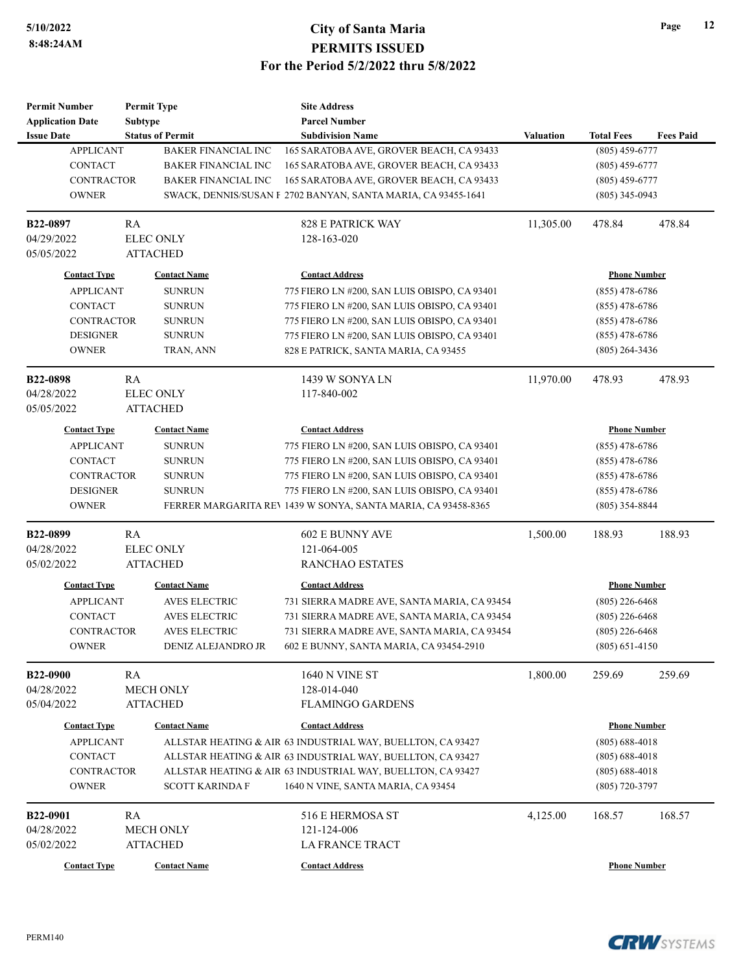| <b>Permit Number</b>    | <b>Permit Type</b>         | <b>Site Address</b>                                           |                  |                     |                  |
|-------------------------|----------------------------|---------------------------------------------------------------|------------------|---------------------|------------------|
| <b>Application Date</b> | <b>Subtype</b>             | <b>Parcel Number</b>                                          |                  |                     |                  |
| <b>Issue Date</b>       | <b>Status of Permit</b>    | <b>Subdivision Name</b>                                       | <b>Valuation</b> | <b>Total Fees</b>   | <b>Fees Paid</b> |
| <b>APPLICANT</b>        | <b>BAKER FINANCIAL INC</b> | 165 SARATOBA AVE, GROVER BEACH, CA 93433                      |                  | $(805)$ 459-6777    |                  |
| <b>CONTACT</b>          | <b>BAKER FINANCIAL INC</b> | 165 SARATOBA AVE, GROVER BEACH, CA 93433                      |                  | $(805)$ 459-6777    |                  |
| <b>CONTRACTOR</b>       | <b>BAKER FINANCIAL INC</b> | 165 SARATOBA AVE, GROVER BEACH, CA 93433                      |                  | $(805)$ 459-6777    |                  |
| <b>OWNER</b>            |                            | SWACK, DENNIS/SUSAN F 2702 BANYAN, SANTA MARIA, CA 93455-1641 |                  | $(805)$ 345-0943    |                  |
| B22-0897                | RA                         | <b>828 E PATRICK WAY</b>                                      | 11,305.00        | 478.84              | 478.84           |
| 04/29/2022              | <b>ELEC ONLY</b>           | 128-163-020                                                   |                  |                     |                  |
| 05/05/2022              | <b>ATTACHED</b>            |                                                               |                  |                     |                  |
| <b>Contact Type</b>     | <b>Contact Name</b>        | <b>Contact Address</b>                                        |                  | <b>Phone Number</b> |                  |
| <b>APPLICANT</b>        | <b>SUNRUN</b>              | 775 FIERO LN #200, SAN LUIS OBISPO, CA 93401                  |                  | $(855)$ 478-6786    |                  |
| CONTACT                 | <b>SUNRUN</b>              | 775 FIERO LN #200, SAN LUIS OBISPO, CA 93401                  |                  | $(855)$ 478-6786    |                  |
| CONTRACTOR              | <b>SUNRUN</b>              | 775 FIERO LN #200, SAN LUIS OBISPO, CA 93401                  |                  | $(855)$ 478-6786    |                  |
| <b>DESIGNER</b>         | <b>SUNRUN</b>              | 775 FIERO LN #200, SAN LUIS OBISPO, CA 93401                  |                  | $(855)$ 478-6786    |                  |
| <b>OWNER</b>            | TRAN, ANN                  | 828 E PATRICK, SANTA MARIA, CA 93455                          |                  | $(805)$ 264-3436    |                  |
| B22-0898                | RA                         | 1439 W SONYA LN                                               | 11,970.00        | 478.93              | 478.93           |
| 04/28/2022              | <b>ELEC ONLY</b>           | 117-840-002                                                   |                  |                     |                  |
| 05/05/2022              | <b>ATTACHED</b>            |                                                               |                  |                     |                  |
| <b>Contact Type</b>     | <b>Contact Name</b>        | <b>Contact Address</b>                                        |                  | <b>Phone Number</b> |                  |
| <b>APPLICANT</b>        | <b>SUNRUN</b>              | 775 FIERO LN #200, SAN LUIS OBISPO, CA 93401                  |                  | $(855)$ 478-6786    |                  |
| <b>CONTACT</b>          | <b>SUNRUN</b>              | 775 FIERO LN #200, SAN LUIS OBISPO, CA 93401                  |                  | $(855)$ 478-6786    |                  |
| <b>CONTRACTOR</b>       | <b>SUNRUN</b>              | 775 FIERO LN #200, SAN LUIS OBISPO, CA 93401                  |                  | $(855)$ 478-6786    |                  |
| <b>DESIGNER</b>         | <b>SUNRUN</b>              | 775 FIERO LN #200, SAN LUIS OBISPO, CA 93401                  |                  | $(855)$ 478-6786    |                  |
| <b>OWNER</b>            |                            | FERRER MARGARITA REV 1439 W SONYA, SANTA MARIA, CA 93458-8365 |                  | $(805)$ 354-8844    |                  |
| B22-0899                | RA                         | <b>602 E BUNNY AVE</b>                                        | 1,500.00         | 188.93              | 188.93           |
| 04/28/2022              | <b>ELEC ONLY</b>           | 121-064-005                                                   |                  |                     |                  |
| 05/02/2022              | <b>ATTACHED</b>            | <b>RANCHAO ESTATES</b>                                        |                  |                     |                  |
| <b>Contact Type</b>     | <b>Contact Name</b>        | <b>Contact Address</b>                                        |                  | <b>Phone Number</b> |                  |
| <b>APPLICANT</b>        | <b>AVES ELECTRIC</b>       | 731 SIERRA MADRE AVE, SANTA MARIA, CA 93454                   |                  | $(805)$ 226-6468    |                  |
| <b>CONTACT</b>          | <b>AVES ELECTRIC</b>       | 731 SIERRA MADRE AVE, SANTA MARIA, CA 93454                   |                  | $(805)$ 226-6468    |                  |
| <b>CONTRACTOR</b>       | <b>AVES ELECTRIC</b>       | 731 SIERRA MADRE AVE, SANTA MARIA, CA 93454                   |                  | $(805)$ 226-6468    |                  |
| <b>OWNER</b>            | DENIZ ALEJANDRO JR         | 602 E BUNNY, SANTA MARIA, CA 93454-2910                       |                  | $(805)$ 651-4150    |                  |
| <b>B22-0900</b>         | RA                         | <b>1640 N VINE ST</b>                                         | 1,800.00         | 259.69              | 259.69           |
| 04/28/2022              | <b>MECH ONLY</b>           | 128-014-040                                                   |                  |                     |                  |
| 05/04/2022              | <b>ATTACHED</b>            | <b>FLAMINGO GARDENS</b>                                       |                  |                     |                  |
| <b>Contact Type</b>     | <b>Contact Name</b>        | <b>Contact Address</b>                                        |                  | <b>Phone Number</b> |                  |
| <b>APPLICANT</b>        |                            | ALLSTAR HEATING & AIR 63 INDUSTRIAL WAY, BUELLTON, CA 93427   |                  | $(805) 688 - 4018$  |                  |
| <b>CONTACT</b>          |                            | ALLSTAR HEATING & AIR 63 INDUSTRIAL WAY, BUELLTON, CA 93427   |                  | $(805)$ 688-4018    |                  |
| <b>CONTRACTOR</b>       |                            | ALLSTAR HEATING & AIR 63 INDUSTRIAL WAY, BUELLTON, CA 93427   |                  | $(805)$ 688-4018    |                  |
| <b>OWNER</b>            | <b>SCOTT KARINDA F</b>     | 1640 N VINE, SANTA MARIA, CA 93454                            |                  | $(805)$ 720-3797    |                  |
| B22-0901                | RA                         | 516 E HERMOSA ST                                              | 4,125.00         | 168.57              | 168.57           |
| 04/28/2022              | <b>MECH ONLY</b>           | 121-124-006                                                   |                  |                     |                  |
| 05/02/2022              | <b>ATTACHED</b>            | <b>LA FRANCE TRACT</b>                                        |                  |                     |                  |
| <b>Contact Type</b>     | <b>Contact Name</b>        | <b>Contact Address</b>                                        |                  | <b>Phone Number</b> |                  |
|                         |                            |                                                               |                  |                     |                  |

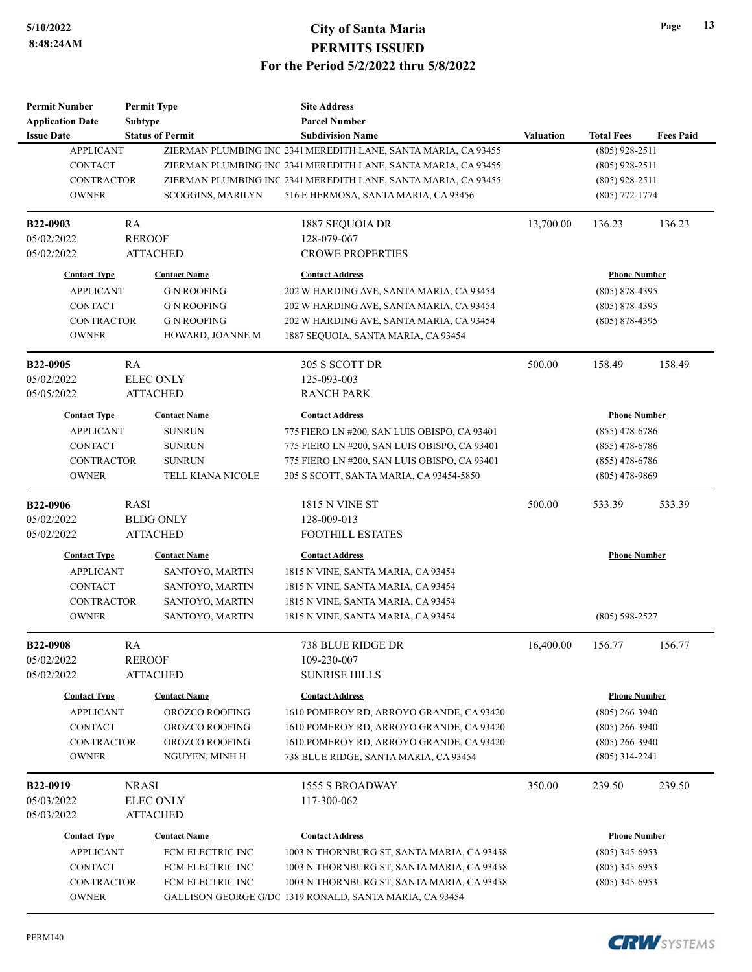| <b>Permit Number</b>    |              | <b>Permit Type</b>      | <b>Site Address</b>                                            |                     |                     |                  |
|-------------------------|--------------|-------------------------|----------------------------------------------------------------|---------------------|---------------------|------------------|
| <b>Application Date</b> |              | <b>Subtype</b>          | <b>Parcel Number</b>                                           |                     |                     |                  |
| <b>Issue Date</b>       |              | <b>Status of Permit</b> | <b>Subdivision Name</b>                                        | <b>Valuation</b>    | <b>Total Fees</b>   | <b>Fees Paid</b> |
| <b>APPLICANT</b>        |              |                         | ZIERMAN PLUMBING INC 2341 MEREDITH LANE, SANTA MARIA, CA 93455 |                     | $(805)$ 928-2511    |                  |
| <b>CONTACT</b>          |              |                         | ZIERMAN PLUMBING INC 2341 MEREDITH LANE, SANTA MARIA, CA 93455 |                     | $(805)$ 928-2511    |                  |
| <b>CONTRACTOR</b>       |              |                         | ZIERMAN PLUMBING INC 2341 MEREDITH LANE, SANTA MARIA, CA 93455 |                     | $(805)$ 928-2511    |                  |
| <b>OWNER</b>            |              | SCOGGINS, MARILYN       | 516 E HERMOSA, SANTA MARIA, CA 93456                           |                     | $(805)$ 772-1774    |                  |
| B22-0903                | RA           |                         | 1887 SEQUOIA DR                                                | 13,700.00           | 136.23              | 136.23           |
| 05/02/2022              |              | <b>REROOF</b>           | 128-079-067                                                    |                     |                     |                  |
| 05/02/2022              |              | <b>ATTACHED</b>         | <b>CROWE PROPERTIES</b>                                        |                     |                     |                  |
| <b>Contact Type</b>     |              | <b>Contact Name</b>     | <b>Contact Address</b>                                         | <b>Phone Number</b> |                     |                  |
| <b>APPLICANT</b>        |              | G N ROOFING             | 202 W HARDING AVE, SANTA MARIA, CA 93454                       | $(805)$ 878-4395    |                     |                  |
| CONTACT                 |              | G N ROOFING             | 202 W HARDING AVE, SANTA MARIA, CA 93454                       |                     | $(805) 878 - 4395$  |                  |
| CONTRACTOR              |              | <b>G N ROOFING</b>      | 202 W HARDING AVE, SANTA MARIA, CA 93454                       |                     | $(805)$ 878-4395    |                  |
| <b>OWNER</b>            |              | HOWARD, JOANNE M        | 1887 SEQUOIA, SANTA MARIA, CA 93454                            |                     |                     |                  |
| B22-0905                | RA           |                         | 305 S SCOTT DR                                                 | 500.00              | 158.49              | 158.49           |
| 05/02/2022              |              | <b>ELEC ONLY</b>        | 125-093-003                                                    |                     |                     |                  |
| 05/05/2022              |              | <b>ATTACHED</b>         | <b>RANCH PARK</b>                                              |                     |                     |                  |
| <b>Contact Type</b>     |              | <b>Contact Name</b>     | <b>Contact Address</b>                                         |                     | <b>Phone Number</b> |                  |
| <b>APPLICANT</b>        |              | <b>SUNRUN</b>           | 775 FIERO LN #200, SAN LUIS OBISPO, CA 93401                   |                     | $(855)$ 478-6786    |                  |
| <b>CONTACT</b>          |              | <b>SUNRUN</b>           | 775 FIERO LN #200, SAN LUIS OBISPO, CA 93401                   |                     | $(855)$ 478-6786    |                  |
| CONTRACTOR              |              | <b>SUNRUN</b>           | 775 FIERO LN #200, SAN LUIS OBISPO, CA 93401                   |                     | $(855)$ 478-6786    |                  |
| <b>OWNER</b>            |              | TELL KIANA NICOLE       | 305 S SCOTT, SANTA MARIA, CA 93454-5850                        | $(805)$ 478-9869    |                     |                  |
| B22-0906                | <b>RASI</b>  |                         | <b>1815 N VINE ST</b>                                          | 500.00              | 533.39              | 533.39           |
| 05/02/2022              |              | <b>BLDG ONLY</b>        | 128-009-013                                                    |                     |                     |                  |
| 05/02/2022              |              | <b>ATTACHED</b>         | <b>FOOTHILL ESTATES</b>                                        |                     |                     |                  |
| <b>Contact Type</b>     |              | <b>Contact Name</b>     | <b>Contact Address</b>                                         |                     | <b>Phone Number</b> |                  |
| <b>APPLICANT</b>        |              | SANTOYO, MARTIN         | 1815 N VINE, SANTA MARIA, CA 93454                             |                     |                     |                  |
| <b>CONTACT</b>          |              | SANTOYO, MARTIN         | 1815 N VINE, SANTA MARIA, CA 93454                             |                     |                     |                  |
| <b>CONTRACTOR</b>       |              | SANTOYO, MARTIN         | 1815 N VINE, SANTA MARIA, CA 93454                             |                     |                     |                  |
| <b>OWNER</b>            |              | SANTOYO, MARTIN         | 1815 N VINE, SANTA MARIA, CA 93454                             |                     | $(805)$ 598-2527    |                  |
| <b>B22-0908</b>         | RA           |                         | 738 BLUE RIDGE DR                                              | 16,400.00           | 156.77              | 156.77           |
| 05/02/2022              |              | <b>REROOF</b>           | 109-230-007                                                    |                     |                     |                  |
| 05/02/2022              |              | <b>ATTACHED</b>         | <b>SUNRISE HILLS</b>                                           |                     |                     |                  |
| <b>Contact Type</b>     |              | <b>Contact Name</b>     | <b>Contact Address</b>                                         |                     | <b>Phone Number</b> |                  |
| <b>APPLICANT</b>        |              | OROZCO ROOFING          | 1610 POMEROY RD, ARROYO GRANDE, CA 93420                       | $(805)$ 266-3940    |                     |                  |
| CONTACT                 |              | OROZCO ROOFING          | 1610 POMEROY RD, ARROYO GRANDE, CA 93420                       | $(805)$ 266-3940    |                     |                  |
| <b>CONTRACTOR</b>       |              | OROZCO ROOFING          | 1610 POMEROY RD, ARROYO GRANDE, CA 93420                       |                     | $(805)$ 266-3940    |                  |
| <b>OWNER</b>            |              | NGUYEN, MINH H          | 738 BLUE RIDGE, SANTA MARIA, CA 93454                          |                     | $(805)$ 314-2241    |                  |
| B22-0919                | <b>NRASI</b> |                         | <b>1555 S BROADWAY</b>                                         | 350.00              | 239.50              | 239.50           |
| 05/03/2022              |              | <b>ELEC ONLY</b>        | 117-300-062                                                    |                     |                     |                  |
| 05/03/2022              |              | <b>ATTACHED</b>         |                                                                |                     |                     |                  |
| <b>Contact Type</b>     |              | <b>Contact Name</b>     | <b>Contact Address</b>                                         |                     | <b>Phone Number</b> |                  |
| <b>APPLICANT</b>        |              | FCM ELECTRIC INC        | 1003 N THORNBURG ST, SANTA MARIA, CA 93458                     |                     | $(805)$ 345-6953    |                  |
| CONTACT                 |              | FCM ELECTRIC INC        | 1003 N THORNBURG ST, SANTA MARIA, CA 93458                     |                     | $(805)$ 345-6953    |                  |
| CONTRACTOR              |              | FCM ELECTRIC INC        | 1003 N THORNBURG ST, SANTA MARIA, CA 93458                     |                     | $(805)$ 345-6953    |                  |
| <b>OWNER</b>            |              |                         | GALLISON GEORGE G/DO 1319 RONALD, SANTA MARIA, CA 93454        |                     |                     |                  |

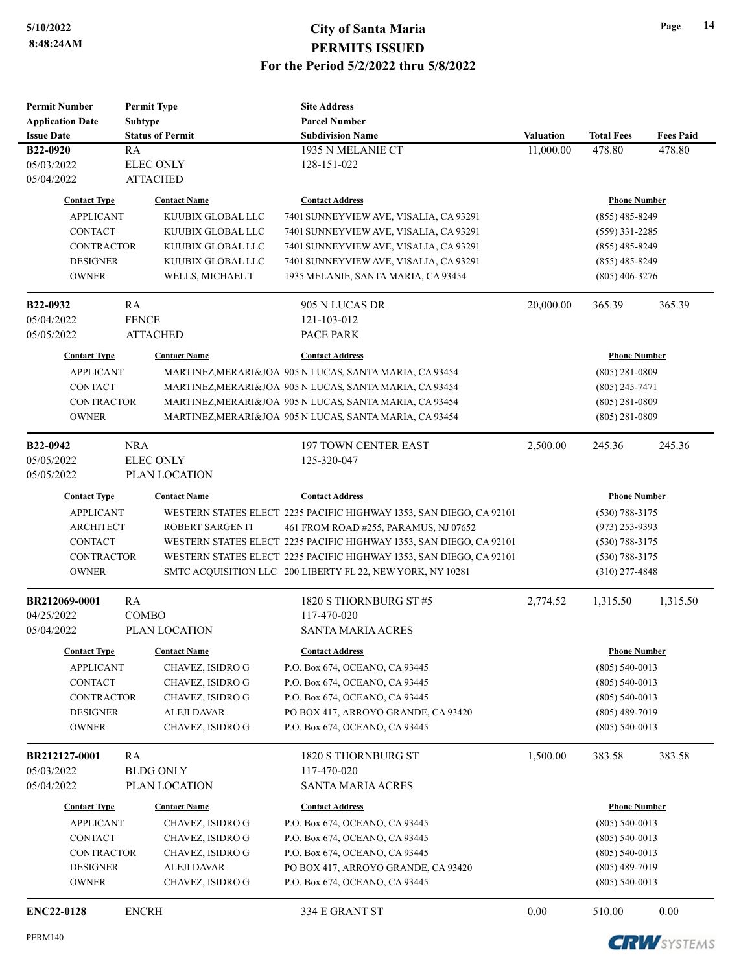| <b>Permit Number</b>                      |              | <b>Permit Type</b>                                                  |                                                                     |                  |                                      |                     |  |
|-------------------------------------------|--------------|---------------------------------------------------------------------|---------------------------------------------------------------------|------------------|--------------------------------------|---------------------|--|
| <b>Application Date</b><br><b>Subtype</b> |              |                                                                     |                                                                     |                  |                                      |                     |  |
| <b>Issue Date</b>                         |              | <b>Status of Permit</b>                                             | <b>Subdivision Name</b>                                             | <b>Valuation</b> | <b>Total Fees</b>                    | <b>Fees Paid</b>    |  |
| B22-0920                                  | RA           |                                                                     | 1935 N MELANIE CT                                                   | 11,000.00        | 478.80                               | 478.80              |  |
| 05/03/2022                                |              | <b>ELEC ONLY</b>                                                    | 128-151-022                                                         |                  |                                      |                     |  |
| 05/04/2022                                |              | <b>ATTACHED</b>                                                     |                                                                     |                  |                                      |                     |  |
| <b>Contact Type</b>                       |              | <b>Contact Name</b>                                                 | <b>Contact Address</b>                                              |                  |                                      |                     |  |
|                                           |              |                                                                     |                                                                     |                  |                                      | <b>Phone Number</b> |  |
| <b>APPLICANT</b>                          |              | KUUBIX GLOBAL LLC                                                   | 7401 SUNNEYVIEW AVE, VISALIA, CA 93291                              |                  | $(855)$ 485-8249                     |                     |  |
| <b>CONTACT</b>                            |              | KUUBIX GLOBAL LLC                                                   | 7401 SUNNEYVIEW AVE, VISALIA, CA 93291                              |                  | $(559)$ 331-2285<br>$(855)$ 485-8249 |                     |  |
| <b>CONTRACTOR</b>                         |              | KUUBIX GLOBAL LLC                                                   | 7401 SUNNEYVIEW AVE, VISALIA, CA 93291                              |                  | $(855)$ 485-8249                     |                     |  |
| <b>DESIGNER</b>                           |              | KUUBIX GLOBAL LLC<br>7401 SUNNEYVIEW AVE, VISALIA, CA 93291         |                                                                     |                  | $(805)$ 406-3276                     |                     |  |
| <b>OWNER</b>                              |              | WELLS, MICHAEL T                                                    | 1935 MELANIE, SANTA MARIA, CA 93454                                 |                  |                                      |                     |  |
| B22-0932                                  | RA           |                                                                     | 905 N LUCAS DR                                                      | 20,000.00        | 365.39                               | 365.39              |  |
| 05/04/2022                                | <b>FENCE</b> |                                                                     | 121-103-012                                                         |                  |                                      |                     |  |
| 05/05/2022                                |              | <b>ATTACHED</b>                                                     | PACE PARK                                                           |                  |                                      |                     |  |
|                                           |              |                                                                     |                                                                     |                  |                                      |                     |  |
| <b>Contact Type</b>                       |              | <b>Contact Name</b>                                                 | <b>Contact Address</b>                                              |                  | <b>Phone Number</b>                  |                     |  |
| <b>APPLICANT</b>                          |              |                                                                     | MARTINEZ, MERARI&JOA 905 N LUCAS, SANTA MARIA, CA 93454             |                  | $(805) 281 - 0809$                   |                     |  |
| <b>CONTACT</b>                            |              |                                                                     | MARTINEZ, MERARI&JOA 905 N LUCAS, SANTA MARIA, CA 93454             |                  | $(805)$ 245-7471                     |                     |  |
| <b>CONTRACTOR</b>                         |              |                                                                     | MARTINEZ, MERARI&JOA 905 N LUCAS, SANTA MARIA, CA 93454             |                  | $(805)$ 281-0809                     |                     |  |
| <b>OWNER</b>                              |              |                                                                     | MARTINEZ, MERARI&JOA 905 N LUCAS, SANTA MARIA, CA 93454             |                  | $(805)$ 281-0809                     |                     |  |
|                                           |              |                                                                     |                                                                     |                  |                                      |                     |  |
| B22-0942                                  | <b>NRA</b>   |                                                                     | <b>197 TOWN CENTER EAST</b>                                         | 2,500.00         | 245.36                               | 245.36              |  |
| 05/05/2022                                |              | <b>ELEC ONLY</b>                                                    | 125-320-047                                                         |                  |                                      |                     |  |
| 05/05/2022                                |              | PLAN LOCATION                                                       |                                                                     |                  |                                      |                     |  |
| <b>Contact Type</b>                       |              | <b>Contact Name</b>                                                 | <b>Contact Address</b>                                              |                  | <b>Phone Number</b>                  |                     |  |
| <b>APPLICANT</b>                          |              |                                                                     | WESTERN STATES ELECT 2235 PACIFIC HIGHWAY 1353, SAN DIEGO, CA 92101 |                  | $(530) 788 - 3175$                   |                     |  |
| <b>ARCHITECT</b>                          |              | ROBERT SARGENTI                                                     | 461 FROM ROAD #255, PARAMUS, NJ 07652                               | $(973)$ 253-9393 |                                      |                     |  |
| <b>CONTACT</b>                            |              |                                                                     | WESTERN STATES ELECT 2235 PACIFIC HIGHWAY 1353, SAN DIEGO, CA 92101 | $(530)$ 788-3175 |                                      |                     |  |
| <b>CONTRACTOR</b>                         |              | WESTERN STATES ELECT 2235 PACIFIC HIGHWAY 1353, SAN DIEGO, CA 92101 |                                                                     |                  | $(530)$ 788-3175                     |                     |  |
| <b>OWNER</b>                              |              |                                                                     | SMTC ACQUISITION LLC 200 LIBERTY FL 22, NEW YORK, NY 10281          |                  | $(310)$ 277-4848                     |                     |  |
|                                           |              |                                                                     |                                                                     |                  |                                      |                     |  |
| BR212069-0001                             | RA           |                                                                     | 1820 S THORNBURG ST #5                                              | 2,774.52         | 1,315.50                             | 1,315.50            |  |
| 04/25/2022                                | <b>COMBO</b> | 117-470-020                                                         |                                                                     |                  |                                      |                     |  |
| 05/04/2022                                |              | PLAN LOCATION                                                       | <b>SANTA MARIA ACRES</b>                                            |                  |                                      |                     |  |
| <b>Contact Type</b>                       |              | <b>Contact Name</b>                                                 | <b>Contact Address</b>                                              |                  | <b>Phone Number</b>                  |                     |  |
| <b>APPLICANT</b>                          |              | CHAVEZ, ISIDRO G                                                    | P.O. Box 674, OCEANO, CA 93445                                      |                  | $(805)$ 540-0013                     |                     |  |
| <b>CONTACT</b>                            |              | CHAVEZ, ISIDRO G                                                    | P.O. Box 674, OCEANO, CA 93445                                      |                  | $(805)$ 540-0013                     |                     |  |
| <b>CONTRACTOR</b>                         |              | CHAVEZ, ISIDRO G                                                    | P.O. Box 674, OCEANO, CA 93445                                      |                  | $(805)$ 540-0013                     |                     |  |
| <b>DESIGNER</b>                           |              | ALEJI DAVAR                                                         | PO BOX 417, ARROYO GRANDE, CA 93420                                 |                  | $(805)$ 489-7019                     |                     |  |
| <b>OWNER</b>                              |              | CHAVEZ, ISIDRO G                                                    | P.O. Box 674, OCEANO, CA 93445                                      |                  | $(805)$ 540-0013                     |                     |  |
|                                           |              |                                                                     |                                                                     |                  |                                      |                     |  |
| BR212127-0001                             | RA           |                                                                     | 1820 S THORNBURG ST                                                 | 1,500.00         | 383.58                               | 383.58              |  |
| 05/03/2022                                |              | <b>BLDG ONLY</b>                                                    | 117-470-020                                                         |                  |                                      |                     |  |
| 05/04/2022                                |              | PLAN LOCATION                                                       | <b>SANTA MARIA ACRES</b>                                            |                  |                                      |                     |  |
| <b>Contact Type</b>                       |              | <b>Contact Name</b>                                                 | <b>Contact Address</b>                                              |                  | <b>Phone Number</b>                  |                     |  |
| <b>APPLICANT</b>                          |              | CHAVEZ, ISIDRO G                                                    | P.O. Box 674, OCEANO, CA 93445                                      |                  | $(805)$ 540-0013                     |                     |  |
| <b>CONTACT</b>                            |              | CHAVEZ, ISIDRO G                                                    | P.O. Box 674, OCEANO, CA 93445                                      |                  | $(805)$ 540-0013                     |                     |  |
| <b>CONTRACTOR</b>                         |              | CHAVEZ, ISIDRO G                                                    | P.O. Box 674, OCEANO, CA 93445                                      |                  | $(805)$ 540-0013                     |                     |  |
| <b>DESIGNER</b>                           |              | ALEJI DAVAR                                                         | PO BOX 417, ARROYO GRANDE, CA 93420                                 |                  | $(805)$ 489-7019                     |                     |  |
| <b>OWNER</b>                              |              | CHAVEZ, ISIDRO G                                                    | P.O. Box 674, OCEANO, CA 93445                                      |                  | $(805)$ 540-0013                     |                     |  |
|                                           |              |                                                                     |                                                                     |                  |                                      |                     |  |
| <b>ENC22-0128</b>                         | <b>ENCRH</b> |                                                                     | 334 E GRANT ST                                                      | 0.00             | 510.00                               | 0.00                |  |
|                                           |              |                                                                     |                                                                     |                  |                                      |                     |  |

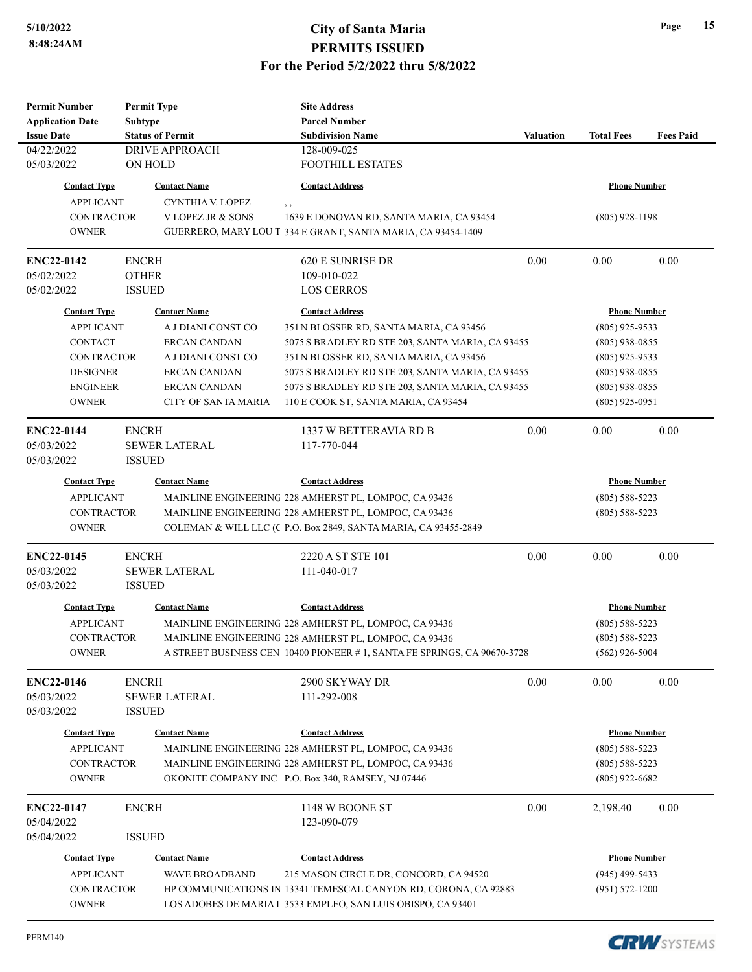**Permit Number**

**Permit Type**

# **5/10/2022 City of Santa Maria PERMITS ISSUED For the Period 5/2/2022 thru 5/8/2022**

**Site Address**

| <b>Application Date</b>                                                          | <b>Subtype</b>          | <b>Parcel Number</b>                                                    |                                                                                                      |                                      |                    |  |
|----------------------------------------------------------------------------------|-------------------------|-------------------------------------------------------------------------|------------------------------------------------------------------------------------------------------|--------------------------------------|--------------------|--|
| <b>Issue Date</b>                                                                | <b>Status of Permit</b> | <b>Subdivision Name</b>                                                 | <b>Valuation</b>                                                                                     | <b>Total Fees</b>                    | <b>Fees Paid</b>   |  |
| 04/22/2022                                                                       | <b>DRIVE APPROACH</b>   | 128-009-025                                                             |                                                                                                      |                                      |                    |  |
| 05/03/2022                                                                       | ON HOLD                 | <b>FOOTHILL ESTATES</b>                                                 |                                                                                                      |                                      |                    |  |
| <b>Contact Type</b>                                                              | <b>Contact Name</b>     | <b>Contact Address</b>                                                  |                                                                                                      | <b>Phone Number</b>                  |                    |  |
| <b>APPLICANT</b>                                                                 | CYNTHIA V. LOPEZ        | , ,                                                                     |                                                                                                      |                                      |                    |  |
| <b>CONTRACTOR</b>                                                                | V LOPEZ JR & SONS       | 1639 E DONOVAN RD, SANTA MARIA, CA 93454                                |                                                                                                      | $(805)$ 928-1198                     |                    |  |
| <b>OWNER</b>                                                                     |                         | GUERRERO, MARY LOU T 334 E GRANT, SANTA MARIA, CA 93454-1409            |                                                                                                      |                                      |                    |  |
| <b>ENC22-0142</b>                                                                | <b>ENCRH</b>            | 620 E SUNRISE DR                                                        | 0.00                                                                                                 | 0.00                                 | 0.00               |  |
| 05/02/2022                                                                       | <b>OTHER</b>            | 109-010-022                                                             |                                                                                                      |                                      |                    |  |
| 05/02/2022                                                                       | <b>ISSUED</b>           | <b>LOS CERROS</b>                                                       |                                                                                                      |                                      |                    |  |
| <b>Contact Type</b>                                                              | <b>Contact Name</b>     | <b>Contact Address</b>                                                  |                                                                                                      | <b>Phone Number</b>                  |                    |  |
| <b>APPLICANT</b>                                                                 | A J DIANI CONST CO      | 351 N BLOSSER RD, SANTA MARIA, CA 93456                                 |                                                                                                      | $(805)$ 925-9533                     |                    |  |
| <b>CONTACT</b>                                                                   | <b>ERCAN CANDAN</b>     | 5075 S BRADLEY RD STE 203, SANTA MARIA, CA 93455                        |                                                                                                      | $(805)$ 938-0855                     |                    |  |
| <b>CONTRACTOR</b>                                                                | A J DIANI CONST CO      | 351 N BLOSSER RD, SANTA MARIA, CA 93456                                 |                                                                                                      | $(805)$ 925-9533                     |                    |  |
| <b>DESIGNER</b><br><b>ERCAN CANDAN</b><br><b>ENGINEER</b><br><b>ERCAN CANDAN</b> |                         |                                                                         | 5075 S BRADLEY RD STE 203, SANTA MARIA, CA 93455<br>5075 S BRADLEY RD STE 203, SANTA MARIA, CA 93455 |                                      |                    |  |
|                                                                                  |                         |                                                                         |                                                                                                      |                                      |                    |  |
| <b>OWNER</b>                                                                     | CITY OF SANTA MARIA     | 110 E COOK ST, SANTA MARIA, CA 93454                                    |                                                                                                      | $(805)$ 938-0855<br>$(805)$ 925-0951 |                    |  |
| <b>ENC22-0144</b>                                                                | <b>ENCRH</b>            | 1337 W BETTERAVIA RD B                                                  | 0.00                                                                                                 | 0.00                                 | 0.00               |  |
| 05/03/2022                                                                       | <b>SEWER LATERAL</b>    | 117-770-044                                                             |                                                                                                      |                                      |                    |  |
| 05/03/2022                                                                       | <b>ISSUED</b>           |                                                                         |                                                                                                      |                                      |                    |  |
| <b>Contact Type</b>                                                              | <b>Contact Name</b>     | <b>Contact Address</b>                                                  |                                                                                                      | <b>Phone Number</b>                  |                    |  |
| <b>APPLICANT</b>                                                                 |                         | MAINLINE ENGINEERING 228 AMHERST PL, LOMPOC, CA 93436                   |                                                                                                      | $(805)$ 588-5223                     |                    |  |
| <b>CONTRACTOR</b>                                                                |                         | MAINLINE ENGINEERING 228 AMHERST PL, LOMPOC, CA 93436                   |                                                                                                      | $(805)$ 588-5223                     |                    |  |
| <b>OWNER</b>                                                                     |                         | COLEMAN & WILL LLC (C P.O. Box 2849, SANTA MARIA, CA 93455-2849         |                                                                                                      |                                      |                    |  |
| <b>ENC22-0145</b>                                                                | <b>ENCRH</b>            | 2220 A ST STE 101                                                       | 0.00                                                                                                 | 0.00                                 | 0.00               |  |
| 05/03/2022                                                                       | <b>SEWER LATERAL</b>    | 111-040-017                                                             |                                                                                                      |                                      |                    |  |
| 05/03/2022                                                                       | <b>ISSUED</b>           |                                                                         |                                                                                                      |                                      |                    |  |
| <b>Contact Type</b>                                                              | <b>Contact Name</b>     | <b>Contact Address</b>                                                  |                                                                                                      | <b>Phone Number</b>                  |                    |  |
| <b>APPLICANT</b>                                                                 |                         | MAINLINE ENGINEERING 228 AMHERST PL, LOMPOC, CA 93436                   |                                                                                                      | $(805)$ 588-5223                     |                    |  |
| CONTRACTOR                                                                       |                         | MAINLINE ENGINEERING 228 AMHERST PL, LOMPOC, CA 93436                   |                                                                                                      | $(805)$ 588-5223                     |                    |  |
| <b>OWNER</b>                                                                     |                         | A STREET BUSINESS CEN 10400 PIONEER #1, SANTA FE SPRINGS, CA 90670-3728 |                                                                                                      |                                      |                    |  |
| <b>ENC22-0146</b>                                                                | <b>ENCRH</b>            | 2900 SKYWAY DR                                                          | 0.00                                                                                                 | 0.00                                 | 0.00               |  |
| 05/03/2022                                                                       | <b>SEWER LATERAL</b>    | 111-292-008                                                             |                                                                                                      |                                      |                    |  |
| 05/03/2022                                                                       | <b>ISSUED</b>           |                                                                         |                                                                                                      |                                      |                    |  |
| <b>Contact Type</b>                                                              | <b>Contact Name</b>     | <b>Contact Address</b>                                                  |                                                                                                      | <b>Phone Number</b>                  |                    |  |
| <b>APPLICANT</b>                                                                 |                         | MAINLINE ENGINEERING 228 AMHERST PL, LOMPOC, CA 93436                   |                                                                                                      | $(805)$ 588-5223                     |                    |  |
| CONTRACTOR                                                                       |                         | MAINLINE ENGINEERING 228 AMHERST PL, LOMPOC, CA 93436                   |                                                                                                      | $(805)$ 588-5223                     |                    |  |
| <b>OWNER</b>                                                                     |                         | OKONITE COMPANY INC P.O. Box 340, RAMSEY, NJ 07446                      |                                                                                                      | $(805)$ 922-6682                     |                    |  |
| <b>ENC22-0147</b>                                                                | <b>ENCRH</b>            | 1148 W BOONE ST                                                         | 0.00                                                                                                 | 2,198.40                             | 0.00               |  |
| 05/04/2022                                                                       |                         | 123-090-079                                                             |                                                                                                      |                                      |                    |  |
| 05/04/2022                                                                       | <b>ISSUED</b>           |                                                                         |                                                                                                      |                                      |                    |  |
| <b>Contact Type</b>                                                              | <b>Contact Name</b>     | <b>Contact Address</b>                                                  |                                                                                                      | <b>Phone Number</b>                  |                    |  |
| <b>APPLICANT</b>                                                                 | <b>WAVE BROADBAND</b>   | 215 MASON CIRCLE DR, CONCORD, CA 94520                                  |                                                                                                      | $(945)$ 499-5433                     |                    |  |
| <b>CONTRACTOR</b>                                                                |                         | HP COMMUNICATIONS IN 13341 TEMESCAL CANYON RD, CORONA, CA 92883         |                                                                                                      |                                      | $(951) 572 - 1200$ |  |
| <b>OWNER</b>                                                                     |                         | LOS ADOBES DE MARIA I 3533 EMPLEO, SAN LUIS OBISPO, CA 93401            |                                                                                                      |                                      |                    |  |
|                                                                                  |                         |                                                                         |                                                                                                      |                                      |                    |  |